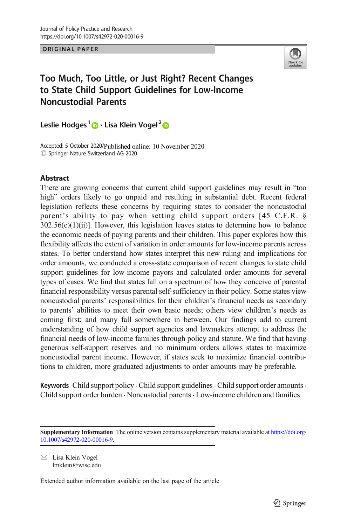ORIGINAL PAPER



# Too Much, Too Little, or Just Right? Recent Changes to State Child Support Guidelines for Low-Income Noncustodial Parents

Leslie Hodges<sup>1</sup> D · Lisa Klein Vogel<sup>2</sup> D

Accepted: 5 October 2020/Published online: 10 November 2020  $\circledcirc$  Springer Nature Switzerland AG 2020

# Abstract

There are growing concerns that current child support guidelines may result in "too high" orders likely to go unpaid and resulting in substantial debt. Recent federal legislation reflects these concerns by requiring states to consider the noncustodial parent's ability to pay when setting child support orders [45 C.F.R. §  $302.56(c)(1)(ii)$ ]. However, this legislation leaves states to determine how to balance the economic needs of paying parents and their children. This paper explores how this flexibility affects the extent of variation in order amounts for low-income parents across states. To better understand how states interpret this new ruling and implications for order amounts, we conducted a cross-state comparison of recent changes to state child support guidelines for low-income payors and calculated order amounts for several types of cases. We find that states fall on a spectrum of how they conceive of parental financial responsibility versus parental self-sufficiency in their policy. Some states view noncustodial parents' responsibilities for their children's financial needs as secondary to parents' abilities to meet their own basic needs; others view children's needs as coming first; and many fall somewhere in between. Our findings add to current understanding of how child support agencies and lawmakers attempt to address the financial needs of low-income families through policy and statute. We find that having generous self-support reserves and no minimum orders allows states to maximize noncustodial parent income. However, if states seek to maximize financial contributions to children, more graduated adjustments to order amounts may be preferable.

Keywords Child support policy  $\cdot$  Child support guidelines  $\cdot$  Child support order amounts  $\cdot$ Child support order burden . Noncustodial parents. Low-income children and families

 $\boxtimes$  Lisa Klein Vogel [lmklein@wisc.edu](mailto:lmklein@wisc.edu)

Extended author information available on the last page of the article

Supplementary Information The online version contains supplementary material available at [https://doi.org/](https://doi.org/10.1007/s42972-020-00016-9) [10.1007/s42972-020-00016-9.](https://doi.org/10.1007/s42972-020-00016-9)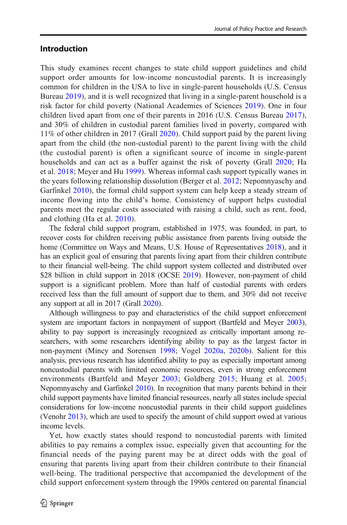# Introduction

This study examines recent changes to state child support guidelines and child support order amounts for low-income noncustodial parents. It is increasingly common for children in the USA to live in single-parent households (U.S. Census Bureau [2019](#page-31-0)), and it is well recognized that living in a single-parent household is a risk factor for child poverty (National Academies of Sciences [2019\)](#page-30-0). One in four children lived apart from one of their parents in 2016 (U.S. Census Bureau [2017\)](#page-30-0), and 30% of children in custodial parent families lived in poverty, compared with 11% of other children in 2017 (Grall [2020\)](#page-29-0). Child support paid by the parent living apart from the child (the non-custodial parent) to the parent living with the child (the custodial parent) is often a significant source of income in single-parent households and can act as a buffer against the risk of poverty (Grall [2020;](#page-29-0) Ha et al. [2018](#page-29-0); Meyer and Hu [1999](#page-30-0)). Whereas informal cash support typically wanes in the years following relationship dissolution (Berger et al. [2012](#page-28-0); Nepomnyaschy and Garfinkel [2010\)](#page-30-0), the formal child support system can help keep a steady stream of income flowing into the child's home. Consistency of support helps custodial parents meet the regular costs associated with raising a child, such as rent, food, and clothing (Ha et al. [2010](#page-29-0)).

The federal child support program, established in 1975, was founded, in part, to recover costs for children receiving public assistance from parents living outside the home (Committee on Ways and Means, U.S. House of Representatives [2018\)](#page-29-0), and it has an explicit goal of ensuring that parents living apart from their children contribute to their financial well-being. The child support system collected and distributed over \$28 billion in child support in 2018 (OCSE [2019](#page-30-0)). However, non-payment of child support is a significant problem. More than half of custodial parents with orders received less than the full amount of support due to them, and 30% did not receive any support at all in 2017 (Grall [2020\)](#page-29-0).

Although willingness to pay and characteristics of the child support enforcement system are important factors in nonpayment of support (Bartfeld and Meyer [2003\)](#page-28-0), ability to pay support is increasingly recognized as critically important among researchers, with some researchers identifying ability to pay as the largest factor in non-payment (Mincy and Sorensen [1998](#page-30-0); Vogel [2020a](#page-31-0), [2020b](#page-31-0)). Salient for this analysis, previous research has identified ability to pay as especially important among noncustodial parents with limited economic resources, even in strong enforcement environments (Bartfeld and Meyer [2003;](#page-28-0) Goldberg [2015;](#page-29-0) Huang et al. [2005;](#page-30-0) Nepomnyaschy and Garfinkel [2010](#page-30-0)). In recognition that many parents behind in their child support payments have limited financial resources, nearly all states include special considerations for low-income noncustodial parents in their child support guidelines (Venohr [2013\)](#page-31-0), which are used to specify the amount of child support owed at various income levels.

Yet, how exactly states should respond to noncustodial parents with limited abilities to pay remains a complex issue, especially given that accounting for the financial needs of the paying parent may be at direct odds with the goal of ensuring that parents living apart from their children contribute to their financial well-being. The traditional perspective that accompanied the development of the child support enforcement system through the 1990s centered on parental financial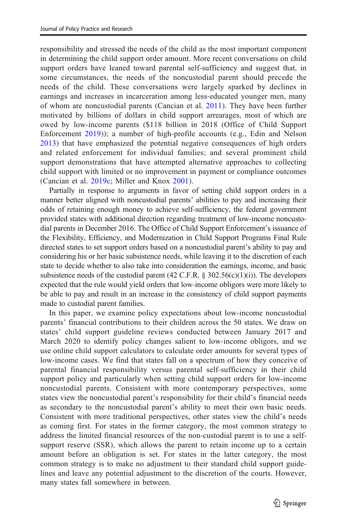responsibility and stressed the needs of the child as the most important component in determining the child support order amount. More recent conversations on child support orders have leaned toward parental self-sufficiency and suggest that, in some circumstances, the needs of the noncustodial parent should precede the needs of the child. These conversations were largely sparked by declines in earnings and increases in incarceration among less-educated younger men, many of whom are noncustodial parents (Cancian et al. [2011](#page-29-0)). They have been further motivated by billions of dollars in child support arrearages, most of which are owed by low-income parents (\$118 billion in 2018 (Office of Child Support Enforcement [2019\)](#page-30-0)); a number of high-profile accounts (e.g., Edin and Nelson [2013](#page-29-0)) that have emphasized the potential negative consequences of high orders and related enforcement for individual families; and several prominent child support demonstrations that have attempted alternative approaches to collecting child support with limited or no improvement in payment or compliance outcomes (Cancian et al. [2019c;](#page-29-0) Miller and Knox [2001](#page-30-0)).

Partially in response to arguments in favor of setting child support orders in a manner better aligned with noncustodial parents' abilities to pay and increasing their odds of retaining enough money to achieve self-sufficiency, the federal government provided states with additional direction regarding treatment of low-income noncustodial parents in December 2016. The Office of Child Support Enforcement's issuance of the Flexibility, Efficiency, and Modernization in Child Support Programs Final Rule directed states to set support orders based on a noncustodial parent's ability to pay and considering his or her basic subsistence needs, while leaving it to the discretion of each state to decide whether to also take into consideration the earnings, income, and basic subsistence needs of the custodial parent (42 C.F.R.  $\S$  302.56(c)(1)(i)). The developers expected that the rule would yield orders that low-income obligors were more likely to be able to pay and result in an increase in the consistency of child support payments made to custodial parent families.

In this paper, we examine policy expectations about low-income noncustodial parents' financial contributions to their children across the 50 states. We draw on states' child support guideline reviews conducted between January 2017 and March 2020 to identify policy changes salient to low-income obligors, and we use online child support calculators to calculate order amounts for several types of low-income cases. We find that states fall on a spectrum of how they conceive of parental financial responsibility versus parental self-sufficiency in their child support policy and particularly when setting child support orders for low-income noncustodial parents. Consistent with more contemporary perspectives, some states view the noncustodial parent's responsibility for their child's financial needs as secondary to the noncustodial parent's ability to meet their own basic needs. Consistent with more traditional perspectives, other states view the child's needs as coming first. For states in the former category, the most common strategy to address the limited financial resources of the non-custodial parent is to use a selfsupport reserve (SSR), which allows the parent to retain income up to a certain amount before an obligation is set. For states in the latter category, the most common strategy is to make no adjustment to their standard child support guidelines and leave any potential adjustment to the discretion of the courts. However, many states fall somewhere in between.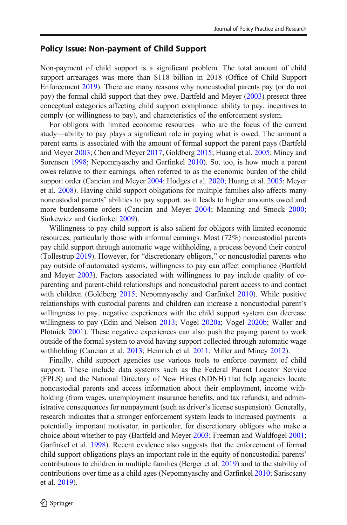# Policy Issue: Non-payment of Child Support

Non-payment of child support is a significant problem. The total amount of child support arrearages was more than \$118 billion in 2018 (Office of Child Support Enforcement [2019](#page-30-0)). There are many reasons why noncustodial parents pay (or do not pay) the formal child support that they owe. Bartfeld and Meyer [\(2003\)](#page-28-0) present three conceptual categories affecting child support compliance: ability to pay, incentives to comply (or willingness to pay), and characteristics of the enforcement system.

For obligors with limited economic resources—who are the focus of the current study—ability to pay plays a significant role in paying what is owed. The amount a parent earns is associated with the amount of formal support the parent pays (Bartfeld and Meyer [2003](#page-28-0); Chen and Meyer [2017](#page-29-0); Goldberg [2015;](#page-29-0) Huang et al. [2005;](#page-30-0) Mincy and Sorensen [1998;](#page-30-0) Nepomnyaschy and Garfinkel [2010](#page-30-0)). So, too, is how much a parent owes relative to their earnings, often referred to as the economic burden of the child support order (Cancian and Meyer [2004](#page-29-0); Hodges et al. [2020;](#page-29-0) Huang et al. [2005;](#page-30-0) Meyer et al. [2008](#page-30-0)). Having child support obligations for multiple families also affects many noncustodial parents' abilities to pay support, as it leads to higher amounts owed and more burdensome orders (Cancian and Meyer [2004](#page-29-0); Manning and Smock [2000;](#page-30-0) Sinkewicz and Garfinkel [2009\)](#page-30-0).

Willingness to pay child support is also salient for obligors with limited economic resources, particularly those with informal earnings. Most (72%) noncustodial parents pay child support through automatic wage withholding, a process beyond their control (Tollestrup [2019](#page-30-0)). However, for "discretionary obligors," or noncustodial parents who pay outside of automated systems, willingness to pay can affect compliance (Bartfeld and Meyer [2003\)](#page-28-0). Factors associated with willingness to pay include quality of coparenting and parent-child relationships and noncustodial parent access to and contact with children (Goldberg [2015](#page-29-0); Nepomnyaschy and Garfinkel [2010\)](#page-30-0). While positive relationships with custodial parents and children can increase a noncustodial parent's willingness to pay, negative experiences with the child support system can decrease willingness to pay (Edin and Nelson [2013;](#page-29-0) Vogel [2020a](#page-31-0); Vogel [2020b;](#page-31-0) Waller and Plotnick [2001](#page-31-0)). These negative experiences can also push the paying parent to work outside of the formal system to avoid having support collected through automatic wage withholding (Cancian et al. [2013](#page-29-0); Heinrich et al. [2011](#page-29-0); Miller and Mincy [2012\)](#page-30-0).

Finally, child support agencies use various tools to enforce payment of child support. These include data systems such as the Federal Parent Locator Service (FPLS) and the National Directory of New Hires (NDNH) that help agencies locate noncustodial parents and access information about their employment, income withholding (from wages, unemployment insurance benefits, and tax refunds), and administrative consequences for nonpayment (such as driver's license suspension). Generally, research indicates that a stronger enforcement system leads to increased payments—a potentially important motivator, in particular, for discretionary obligors who make a choice about whether to pay (Bartfeld and Meyer [2003](#page-28-0); Freeman and Waldfogel [2001;](#page-29-0) Garfinkel et al. [1998](#page-29-0)). Recent evidence also suggests that the enforcement of formal child support obligations plays an important role in the equity of noncustodial parents' contributions to children in multiple families (Berger et al. [2019\)](#page-28-0) and to the stability of contributions over time as a child ages (Nepomnyaschy and Garfinkel [2010](#page-30-0); Sariscsany et al. [2019\)](#page-30-0).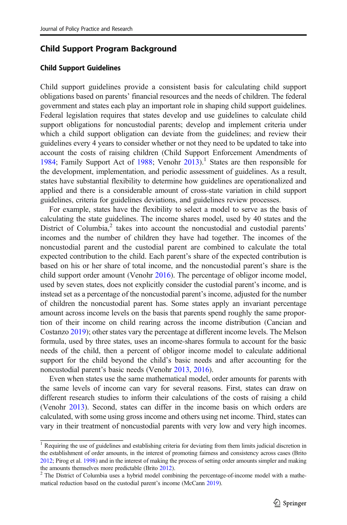# Child Support Program Background

### Child Support Guidelines

Child support guidelines provide a consistent basis for calculating child support obligations based on parents' financial resources and the needs of children. The federal government and states each play an important role in shaping child support guidelines. Federal legislation requires that states develop and use guidelines to calculate child support obligations for noncustodial parents; develop and implement criteria under which a child support obligation can deviate from the guidelines; and review their guidelines every 4 years to consider whether or not they need to be updated to take into account the costs of raising children (Child Support Enforcement Amendments of [1984;](#page-29-0) Family Support Act of [1988](#page-29-0); Venohr  $2013$ ).<sup>1</sup> States are then responsible for the development, implementation, and periodic assessment of guidelines. As a result, states have substantial flexibility to determine how guidelines are operationalized and applied and there is a considerable amount of cross-state variation in child support guidelines, criteria for guidelines deviations, and guidelines review processes.

For example, states have the flexibility to select a model to serve as the basis of calculating the state guidelines. The income shares model, used by 40 states and the District of Columbia, $^2$  takes into account the noncustodial and custodial parents' incomes and the number of children they have had together. The incomes of the noncustodial parent and the custodial parent are combined to calculate the total expected contribution to the child. Each parent's share of the expected contribution is based on his or her share of total income, and the noncustodial parent's share is the child support order amount (Venohr [2016](#page-31-0)). The percentage of obligor income model, used by seven states, does not explicitly consider the custodial parent's income, and is instead set as a percentage of the noncustodial parent's income, adjusted for the number of children the noncustodial parent has. Some states apply an invariant percentage amount across income levels on the basis that parents spend roughly the same proportion of their income on child rearing across the income distribution (Cancian and Costanzo [2019\)](#page-28-0); other states vary the percentage at different income levels. The Melson formula, used by three states, uses an income-shares formula to account for the basic needs of the child, then a percent of obligor income model to calculate additional support for the child beyond the child's basic needs and after accounting for the noncustodial parent's basic needs (Venohr [2013,](#page-31-0) [2016\)](#page-31-0).

Even when states use the same mathematical model, order amounts for parents with the same levels of income can vary for several reasons. First, states can draw on different research studies to inform their calculations of the costs of raising a child (Venohr [2013](#page-31-0)). Second, states can differ in the income basis on which orders are calculated, with some using gross income and others using net income. Third, states can vary in their treatment of noncustodial parents with very low and very high incomes.

<sup>&</sup>lt;sup>1</sup> Requiring the use of guidelines and establishing criteria for deviating from them limits judicial discretion in the establishment of order amounts, in the interest of promoting fairness and consistency across cases (Brito [2012;](#page-28-0) Pirog et al. [1998](#page-30-0)) and in the interest of making the process of setting order amounts simpler and making the amounts themselves more predictable (Brito  $2012$ ).<br><sup>2</sup> The District of Columbia uses a hybrid model combining the percentage-of-income model with a mathe-

matical reduction based on the custodial parent's income (McCann [2019](#page-30-0)).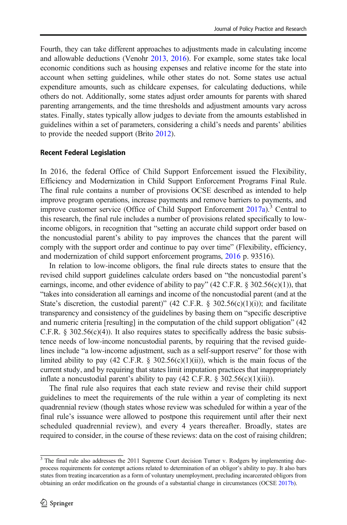Fourth, they can take different approaches to adjustments made in calculating income and allowable deductions (Venohr [2013,](#page-31-0) [2016](#page-31-0)). For example, some states take local economic conditions such as housing expenses and relative income for the state into account when setting guidelines, while other states do not. Some states use actual expenditure amounts, such as childcare expenses, for calculating deductions, while others do not. Additionally, some states adjust order amounts for parents with shared parenting arrangements, and the time thresholds and adjustment amounts vary across states. Finally, states typically allow judges to deviate from the amounts established in guidelines within a set of parameters, considering a child's needs and parents' abilities to provide the needed support (Brito [2012\)](#page-28-0).

#### Recent Federal Legislation

In 2016, the federal Office of Child Support Enforcement issued the Flexibility, Efficiency and Modernization in Child Support Enforcement Programs Final Rule. The final rule contains a number of provisions OCSE described as intended to help improve program operations, increase payments and remove barriers to payments, and improve customer service (Office of Child Support Enforcement [2017a](#page-30-0)).<sup>3</sup> Central to this research, the final rule includes a number of provisions related specifically to lowincome obligors, in recognition that "setting an accurate child support order based on the noncustodial parent's ability to pay improves the chances that the parent will comply with the support order and continue to pay over time" (Flexibility, efficiency, and modernization of child support enforcement programs, [2016](#page-29-0) p. 93516).

In relation to low-income obligors, the final rule directs states to ensure that the revised child support guidelines calculate orders based on "the noncustodial parent's earnings, income, and other evidence of ability to pay" (42 C.F.R.  $\S 302.56(c)(1)$ ), that "takes into consideration all earnings and income of the noncustodial parent (and at the State's discretion, the custodial parent)" (42 C.F.R.  $\S$  302.56(c)(1)(i)); and facilitate transparency and consistency of the guidelines by basing them on "specific descriptive and numeric criteria [resulting] in the computation of the child support obligation" (42 C.F.R. § 302.56(c)(4)). It also requires states to specifically address the basic subsistence needs of low-income noncustodial parents, by requiring that the revised guidelines include "a low-income adjustment, such as a self-support reserve" for those with limited ability to pay  $(42 \text{ C.F.R. } § 302.56(c)(1)(ii))$ , which is the main focus of the current study, and by requiring that states limit imputation practices that inappropriately inflate a noncustodial parent's ability to pay  $(42 \text{ C.F.R. } § 302.56(c)(1)(iii))$ .

The final rule also requires that each state review and revise their child support guidelines to meet the requirements of the rule within a year of completing its next quadrennial review (though states whose review was scheduled for within a year of the final rule's issuance were allowed to postpone this requirement until after their next scheduled quadrennial review), and every 4 years thereafter. Broadly, states are required to consider, in the course of these reviews: data on the cost of raising children;

<sup>&</sup>lt;sup>3</sup> The final rule also addresses the 2011 Supreme Court decision Turner v. Rodgers by implementing dueprocess requirements for contempt actions related to determination of an obligor's ability to pay. It also bars states from treating incarceration as a form of voluntary unemployment, precluding incarcerated obligors from obtaining an order modification on the grounds of a substantial change in circumstances (OCSE [2017b](#page-30-0)).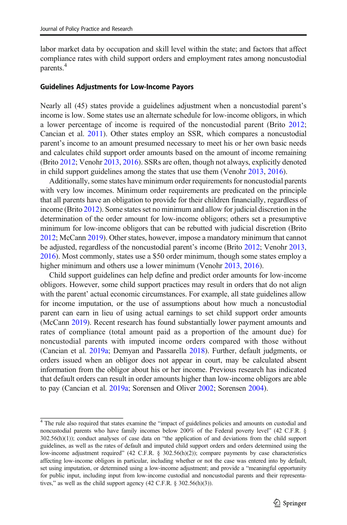labor market data by occupation and skill level within the state; and factors that affect compliance rates with child support orders and employment rates among noncustodial parents.4

#### Guidelines Adjustments for Low-Income Payors

Nearly all (45) states provide a guidelines adjustment when a noncustodial parent's income is low. Some states use an alternate schedule for low-income obligors, in which a lower percentage of income is required of the noncustodial parent (Brito [2012;](#page-28-0) Cancian et al. [2011\)](#page-29-0). Other states employ an SSR, which compares a noncustodial parent's income to an amount presumed necessary to meet his or her own basic needs and calculates child support order amounts based on the amount of income remaining (Brito [2012;](#page-28-0) Venohr [2013](#page-31-0), [2016](#page-31-0)). SSRs are often, though not always, explicitly denoted in child support guidelines among the states that use them (Venohr [2013](#page-31-0), [2016\)](#page-31-0).

Additionally, some states have minimum order requirements for noncustodial parents with very low incomes. Minimum order requirements are predicated on the principle that all parents have an obligation to provide for their children financially, regardless of income (Brito [2012\)](#page-28-0). Some states set no minimum and allow for judicial discretion in the determination of the order amount for low-income obligors; others set a presumptive minimum for low-income obligors that can be rebutted with judicial discretion (Brito [2012;](#page-28-0) McCann [2019\)](#page-30-0). Other states, however, impose a mandatory minimum that cannot be adjusted, regardless of the noncustodial parent's income (Brito [2012](#page-28-0); Venohr [2013,](#page-31-0) [2016\)](#page-31-0). Most commonly, states use a \$50 order minimum, though some states employ a higher minimum and others use a lower minimum (Venohr [2013,](#page-31-0) [2016\)](#page-31-0).

Child support guidelines can help define and predict order amounts for low-income obligors. However, some child support practices may result in orders that do not align with the parent' actual economic circumstances. For example, all state guidelines allow for income imputation, or the use of assumptions about how much a noncustodial parent can earn in lieu of using actual earnings to set child support order amounts (McCann [2019](#page-30-0)). Recent research has found substantially lower payment amounts and rates of compliance (total amount paid as a proportion of the amount due) for noncustodial parents with imputed income orders compared with those without (Cancian et al. [2019a](#page-29-0); Demyan and Passarella [2018\)](#page-29-0). Further, default judgments, or orders issued when an obligor does not appear in court, may be calculated absent information from the obligor about his or her income. Previous research has indicated that default orders can result in order amounts higher than low-income obligors are able to pay (Cancian et al. [2019a](#page-29-0); Sorensen and Oliver [2002;](#page-30-0) Sorensen [2004](#page-30-0)).

<sup>&</sup>lt;sup>4</sup> The rule also required that states examine the "impact of guidelines policies and amounts on custodial and noncustodial parents who have family incomes below 200% of the Federal poverty level" (42 C.F.R. § 302.56(h)(1)); conduct analyses of case data on "the application of and deviations from the child support guidelines, as well as the rates of default and imputed child support orders and orders determined using the low-income adjustment required" (42 C.F.R. § 302.56(h)(2)); compare payments by case characteristics affecting low-income obligors in particular, including whether or not the case was entered into by default, set using imputation, or determined using a low-income adjustment; and provide a "meaningful opportunity for public input, including input from low-income custodial and noncustodial parents and their representatives," as well as the child support agency (42 C.F.R. § 302.56(h)(3)).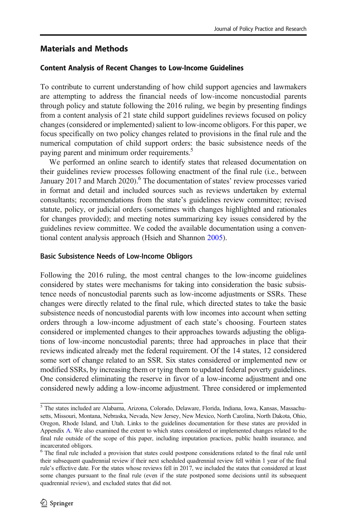# Materials and Methods

# Content Analysis of Recent Changes to Low-Income Guidelines

To contribute to current understanding of how child support agencies and lawmakers are attempting to address the financial needs of low-income noncustodial parents through policy and statute following the 2016 ruling, we begin by presenting findings from a content analysis of 21 state child support guidelines reviews focused on policy changes (considered or implemented) salient to low-income obligors. For this paper, we focus specifically on two policy changes related to provisions in the final rule and the numerical computation of child support orders: the basic subsistence needs of the paying parent and minimum order requirements.<sup>5</sup>

We performed an online search to identify states that released documentation on their guidelines review processes following enactment of the final rule (i.e., between January 2017 and March 2020).<sup>6</sup> The documentation of states' review processes varied in format and detail and included sources such as reviews undertaken by external consultants; recommendations from the state's guidelines review committee; revised statute, policy, or judicial orders (sometimes with changes highlighted and rationales for changes provided); and meeting notes summarizing key issues considered by the guidelines review committee. We coded the available documentation using a conventional content analysis approach (Hsieh and Shannon [2005](#page-29-0)).

## Basic Subsistence Needs of Low-Income Obligors

Following the 2016 ruling, the most central changes to the low-income guidelines considered by states were mechanisms for taking into consideration the basic subsistence needs of noncustodial parents such as low-income adjustments or SSRs. These changes were directly related to the final rule, which directed states to take the basic subsistence needs of noncustodial parents with low incomes into account when setting orders through a low-income adjustment of each state's choosing. Fourteen states considered or implemented changes to their approaches towards adjusting the obligations of low-income noncustodial parents; three had approaches in place that their reviews indicated already met the federal requirement. Of the 14 states, 12 considered some sort of change related to an SSR. Six states considered or implemented new or modified SSRs, by increasing them or tying them to updated federal poverty guidelines. One considered eliminating the reserve in favor of a low-income adjustment and one considered newly adding a low-income adjustment. Three considered or implemented

<sup>5</sup> The states included are Alabama, Arizona, Colorado, Delaware, Florida, Indiana, Iowa, Kansas, Massachusetts, Missouri, Montana, Nebraska, Nevada, New Jersey, New Mexico, North Carolina, North Dakota, Ohio, Oregon, Rhode Island, and Utah. Links to the guidelines documentation for these states are provided in Appendix A. We also examined the extent to which states considered or implemented changes related to the final rule outside of the scope of this paper, including imputation practices, public health insurance, and incarcerated obligors.

<sup>6</sup> The final rule included a provision that states could postpone considerations related to the final rule until their subsequent quadrennial review if their next scheduled quadrennial review fell within 1 year of the final rule's effective date. For the states whose reviews fell in 2017, we included the states that considered at least some changes pursuant to the final rule (even if the state postponed some decisions until its subsequent quadrennial review), and excluded states that did not.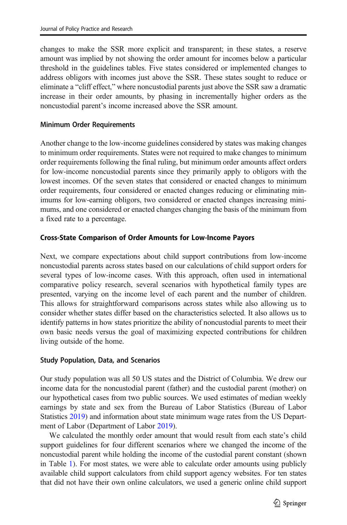changes to make the SSR more explicit and transparent; in these states, a reserve amount was implied by not showing the order amount for incomes below a particular threshold in the guidelines tables. Five states considered or implemented changes to address obligors with incomes just above the SSR. These states sought to reduce or eliminate a "cliff effect," where noncustodial parents just above the SSR saw a dramatic increase in their order amounts, by phasing in incrementally higher orders as the noncustodial parent's income increased above the SSR amount.

### Minimum Order Requirements

Another change to the low-income guidelines considered by states was making changes to minimum order requirements. States were not required to make changes to minimum order requirements following the final ruling, but minimum order amounts affect orders for low-income noncustodial parents since they primarily apply to obligors with the lowest incomes. Of the seven states that considered or enacted changes to minimum order requirements, four considered or enacted changes reducing or eliminating minimums for low-earning obligors, two considered or enacted changes increasing minimums, and one considered or enacted changes changing the basis of the minimum from a fixed rate to a percentage.

### Cross-State Comparison of Order Amounts for Low-Income Payors

Next, we compare expectations about child support contributions from low-income noncustodial parents across states based on our calculations of child support orders for several types of low-income cases. With this approach, often used in international comparative policy research, several scenarios with hypothetical family types are presented, varying on the income level of each parent and the number of children. This allows for straightforward comparisons across states while also allowing us to consider whether states differ based on the characteristics selected. It also allows us to identify patterns in how states prioritize the ability of noncustodial parents to meet their own basic needs versus the goal of maximizing expected contributions for children living outside of the home.

### Study Population, Data, and Scenarios

Our study population was all 50 US states and the District of Columbia. We drew our income data for the noncustodial parent (father) and the custodial parent (mother) on our hypothetical cases from two public sources. We used estimates of median weekly earnings by state and sex from the Bureau of Labor Statistics (Bureau of Labor Statistics [2019\)](#page-28-0) and information about state minimum wage rates from the US Department of Labor (Department of Labor [2019\)](#page-29-0).

We calculated the monthly order amount that would result from each state's child support guidelines for four different scenarios where we changed the income of the noncustodial parent while holding the income of the custodial parent constant (shown in Table [1](#page-9-0)). For most states, we were able to calculate order amounts using publicly available child support calculators from child support agency websites. For ten states that did not have their own online calculators, we used a generic online child support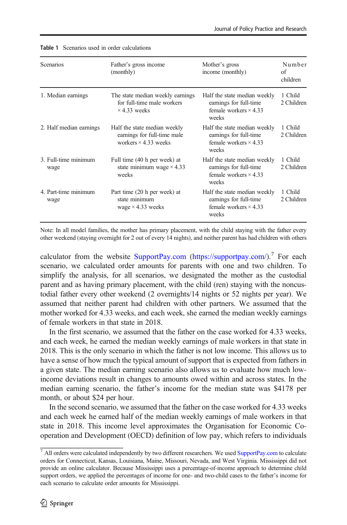| <b>Scenarios</b>             | Father's gross income<br>(monthly)                                                         | Mother's gross<br>income (monthly)                                                              | Number<br>οf<br>children |
|------------------------------|--------------------------------------------------------------------------------------------|-------------------------------------------------------------------------------------------------|--------------------------|
| 1. Median earnings           | The state median weekly earnings<br>for full-time male workers<br>$\times$ 4.33 weeks      | Half the state median weekly<br>earnings for full-time<br>female workers $\times$ 4.33<br>weeks | 1 Child<br>2 Children    |
| 2. Half median earnings      | Half the state median weekly<br>earnings for full-time male<br>workers $\times$ 4.33 weeks | Half the state median weekly<br>earnings for full-time<br>female workers $\times$ 4.33<br>weeks | 1 Child<br>2 Children    |
| 3. Full-time minimum<br>wage | Full time (40 h per week) at<br>state minimum wage $\times$ 4.33<br>weeks                  | Half the state median weekly<br>earnings for full-time<br>female workers $\times$ 4.33<br>weeks | 1 Child<br>2 Children    |
| 4. Part-time minimum<br>wage | Part time (20 h per week) at<br>state minimum<br>wage $\times$ 4.33 weeks                  | Half the state median weekly<br>earnings for full-time<br>female workers $\times$ 4.33<br>weeks | 1 Child<br>2 Children    |

#### <span id="page-9-0"></span>Table 1 Scenarios used in order calculations

Note: In all model families, the mother has primary placement, with the child staying with the father every other weekend (staying overnight for 2 out of every 14 nights), and neither parent has had children with others

calculator from the website [SupportPay.com](http://supportpay.com) ([https://supportpay.com/\)](https://supportpay.com/).<sup>7</sup> For each scenario, we calculated order amounts for parents with one and two children. To simplify the analysis, for all scenarios, we designated the mother as the custodial parent and as having primary placement, with the child (ren) staying with the noncustodial father every other weekend (2 overnights/14 nights or 52 nights per year). We assumed that neither parent had children with other partners. We assumed that the mother worked for 4.33 weeks, and each week, she earned the median weekly earnings of female workers in that state in 2018.

In the first scenario, we assumed that the father on the case worked for 4.33 weeks, and each week, he earned the median weekly earnings of male workers in that state in 2018. This is the only scenario in which the father is not low income. This allows us to have a sense of how much the typical amount of support that is expected from fathers in a given state. The median earning scenario also allows us to evaluate how much lowincome deviations result in changes to amounts owed within and across states. In the median earning scenario, the father's income for the median state was \$4178 per month, or about \$24 per hour.

In the second scenario, we assumed that the father on the case worked for 4.33 weeks and each week he earned half of the median weekly earnings of male workers in that state in 2018. This income level approximates the Organisation for Economic Cooperation and Development (OECD) definition of low pay, which refers to individuals

 $\frac{7}{7}$  All orders were calculated independently by two different researchers. We used [SupportPay.com](http://supportpay.com) to calculate orders for Connecticut, Kansas, Louisiana, Maine, Missouri, Nevada, and West Virginia. Mississippi did not provide an online calculator. Because Mississippi uses a percentage-of-income approach to determine child support orders, we applied the percentages of income for one- and two-child cases to the father's income for each scenario to calculate order amounts for Mississippi.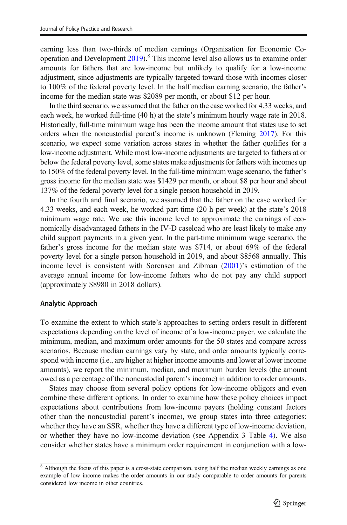earning less than two-thirds of median earnings (Organisation for Economic Cooperation and Development  $2019$ .<sup>8</sup> This income level also allows us to examine order amounts for fathers that are low-income but unlikely to qualify for a low-income adjustment, since adjustments are typically targeted toward those with incomes closer to 100% of the federal poverty level. In the half median earning scenario, the father's income for the median state was \$2089 per month, or about \$12 per hour.

In the third scenario, we assumed that the father on the case worked for 4.33 weeks, and each week, he worked full-time (40 h) at the state's minimum hourly wage rate in 2018. Historically, full-time minimum wage has been the income amount that states use to set orders when the noncustodial parent's income is unknown (Fleming [2017\)](#page-29-0). For this scenario, we expect some variation across states in whether the father qualifies for a low-income adjustment. While most low-income adjustments are targeted to fathers at or below the federal poverty level, some states make adjustments for fathers with incomes up to 150% of the federal poverty level. In the full-time minimum wage scenario, the father's gross income for the median state was \$1429 per month, or about \$8 per hour and about 137% of the federal poverty level for a single person household in 2019.

In the fourth and final scenario, we assumed that the father on the case worked for 4.33 weeks, and each week, he worked part-time (20 h per week) at the state's 2018 minimum wage rate. We use this income level to approximate the earnings of economically disadvantaged fathers in the IV-D caseload who are least likely to make any child support payments in a given year. In the part-time minimum wage scenario, the father's gross income for the median state was \$714, or about 69% of the federal poverty level for a single person household in 2019, and about \$8568 annually. This income level is consistent with Sorensen and Zibman [\(2001](#page-30-0))'s estimation of the average annual income for low-income fathers who do not pay any child support (approximately \$8980 in 2018 dollars).

### Analytic Approach

To examine the extent to which state's approaches to setting orders result in different expectations depending on the level of income of a low-income payer, we calculate the minimum, median, and maximum order amounts for the 50 states and compare across scenarios. Because median earnings vary by state, and order amounts typically correspond with income (i.e., are higher at higher income amounts and lower at lower income amounts), we report the minimum, median, and maximum burden levels (the amount owed as a percentage of the noncustodial parent's income) in addition to order amounts.

States may choose from several policy options for low-income obligors and even combine these different options. In order to examine how these policy choices impact expectations about contributions from low-income payers (holding constant factors other than the noncustodial parent's income), we group states into three categories: whether they have an SSR, whether they have a different type of low-income deviation, or whether they have no low-income deviation (see Appendix 3 Table [4\)](#page-27-0). We also consider whether states have a minimum order requirement in conjunction with a low-

<sup>&</sup>lt;sup>8</sup> Although the focus of this paper is a cross-state comparison, using half the median weekly earnings as one example of low income makes the order amounts in our study comparable to order amounts for parents considered low income in other countries.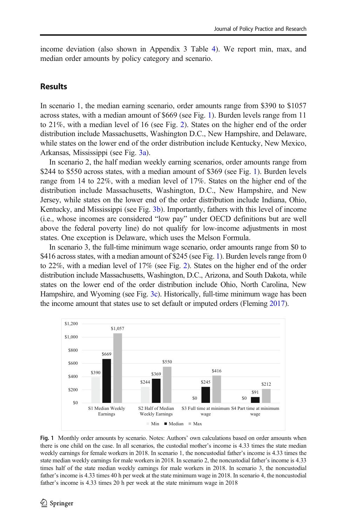<span id="page-11-0"></span>income deviation (also shown in Appendix 3 Table [4](#page-27-0)). We report min, max, and median order amounts by policy category and scenario.

# **Results**

In scenario 1, the median earning scenario, order amounts range from \$390 to \$1057 across states, with a median amount of \$669 (see Fig. 1). Burden levels range from 11 to 21%, with a median level of 16 (see Fig. [2](#page-12-0)). States on the higher end of the order distribution include Massachusetts, Washington D.C., New Hampshire, and Delaware, while states on the lower end of the order distribution include Kentucky, New Mexico, Arkansas, Mississippi (see Fig. [3a](#page-13-0)).

In scenario 2, the half median weekly earning scenarios, order amounts range from \$244 to \$550 across states, with a median amount of \$369 (see Fig. 1). Burden levels range from 14 to 22%, with a median level of 17%. States on the higher end of the distribution include Massachusetts, Washington, D.C., New Hampshire, and New Jersey, while states on the lower end of the order distribution include Indiana, Ohio, Kentucky, and Mississippi (see Fig. [3b](#page-13-0)). Importantly, fathers with this level of income (i.e., whose incomes are considered "low pay" under OECD definitions but are well above the federal poverty line) do not qualify for low-income adjustments in most states. One exception is Delaware, which uses the Melson Formula.

In scenario 3, the full-time minimum wage scenario, order amounts range from \$0 to \$416 across states, with a median amount of \$245 (see Fig. 1). Burden levels range from 0 to 22%, with a median level of 17% (see Fig. [2](#page-12-0)). States on the higher end of the order distribution include Massachusetts, Washington, D.C., Arizona, and South Dakota, while states on the lower end of the order distribution include Ohio, North Carolina, New Hampshire, and Wyoming (see Fig. [3c\)](#page-13-0). Historically, full-time minimum wage has been the income amount that states use to set default or imputed orders (Fleming [2017\)](#page-29-0).



Fig. 1 Monthly order amounts by scenario. Notes: Authors' own calculations based on order amounts when there is one child on the case. In all scenarios, the custodial mother's income is 4.33 times the state median weekly earnings for female workers in 2018. In scenario 1, the noncustodial father's income is 4.33 times the state median weekly earnings for male workers in 2018. In scenario 2, the noncustodial father's income is 4.33 times half of the state median weekly earnings for male workers in 2018. In scenario 3, the noncustodial father's income is 4.33 times 40 h per week at the state minimum wage in 2018. In scenario 4, the noncustodial father's income is 4.33 times 20 h per week at the state minimum wage in 2018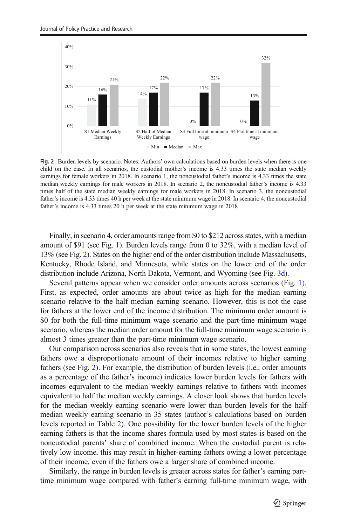<span id="page-12-0"></span>

Fig. 2 Burden levels by scenario. Notes: Authors' own calculations based on burden levels when there is one child on the case. In all scenarios, the custodial mother's income is 4.33 times the state median weekly earnings for female workers in 2018. In scenario 1, the noncustodial father's income is 4.33 times the state median weekly earnings for male workers in 2018. In scenario 2, the noncustodial father's income is 4.33 times half of the state median weekly earnings for male workers in 2018. In scenario 3, the noncustodial father's income is 4.33 times 40 h per week at the state minimum wage in 2018. In scenario 4, the noncustodial father's income is 4.33 times 20 h per week at the state minimum wage in 2018

Finally, in scenario 4, order amounts range from \$0 to \$212 across states, with a median amount of \$91 (see Fig. [1](#page-11-0)). Burden levels range from 0 to 32%, with a median level of 13% (see Fig. 2). States on the higher end of the order distribution include Massachusetts, Kentucky, Rhode Island, and Minnesota, while states on the lower end of the order distribution include Arizona, North Dakota, Vermont, and Wyoming (see Fig. [3d\)](#page-13-0).

Several patterns appear when we consider order amounts across scenarios (Fig. [1\)](#page-11-0). First, as expected, order amounts are about twice as high for the median earning scenario relative to the half median earning scenario. However, this is not the case for fathers at the lower end of the income distribution. The minimum order amount is \$0 for both the full-time minimum wage scenario and the part-time minimum wage scenario, whereas the median order amount for the full-time minimum wage scenario is almost 3 times greater than the part-time minimum wage scenario.

Our comparison across scenarios also reveals that in some states, the lowest earning fathers owe a disproportionate amount of their incomes relative to higher earning fathers (see Fig. 2). For example, the distribution of burden levels (i.e., order amounts as a percentage of the father's income) indicates lower burden levels for fathers with incomes equivalent to the median weekly earnings relative to fathers with incomes equivalent to half the median weekly earnings. A closer look shows that burden levels for the median weekly earning scenario were lower than burden levels for the half median weekly earning scenario in 35 states (author's calculations based on burden levels reported in Table [2\)](#page-21-0). One possibility for the lower burden levels of the higher earning fathers is that the income shares formula used by most states is based on the noncustodial parents' share of combined income. When the custodial parent is relatively low income, this may result in higher-earning fathers owing a lower percentage of their income, even if the fathers owe a larger share of combined income.

Similarly, the range in burden levels is greater across states for father's earning parttime minimum wage compared with father's earning full-time minimum wage, with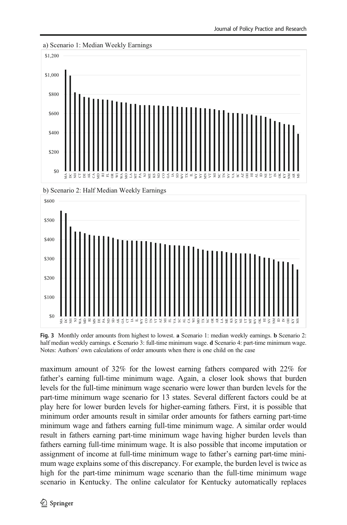<span id="page-13-0"></span>







Fig. 3 Monthly order amounts from highest to lowest. a Scenario 1: median weekly earnings. b Scenario 2: half median weekly earnings. c Scenario 3: full-time minimum wage. d Scenario 4: part-time minimum wage. Notes: Authors' own calculations of order amounts when there is one child on the case

maximum amount of 32% for the lowest earning fathers compared with 22% for father's earning full-time minimum wage. Again, a closer look shows that burden levels for the full-time minimum wage scenario were lower than burden levels for the part-time minimum wage scenario for 13 states. Several different factors could be at play here for lower burden levels for higher-earning fathers. First, it is possible that minimum order amounts result in similar order amounts for fathers earning part-time minimum wage and fathers earning full-time minimum wage. A similar order would result in fathers earning part-time minimum wage having higher burden levels than fathers earning full-time minimum wage. It is also possible that income imputation or assignment of income at full-time minimum wage to father's earning part-time minimum wage explains some of this discrepancy. For example, the burden level is twice as high for the part-time minimum wage scenario than the full-time minimum wage scenario in Kentucky. The online calculator for Kentucky automatically replaces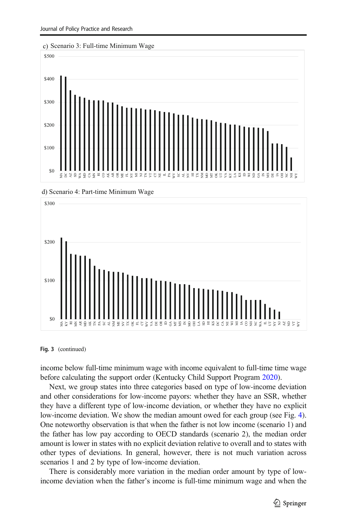



d) Scenario 4: Part-time Minimum Wage



Fig. 3 (continued)

income below full-time minimum wage with income equivalent to full-time time wage before calculating the support order (Kentucky Child Support Program [2020\)](#page-30-0).

Next, we group states into three categories based on type of low-income deviation and other considerations for low-income payors: whether they have an SSR, whether they have a different type of low-income deviation, or whether they have no explicit low-income deviation. We show the median amount owed for each group (see Fig. [4\)](#page-15-0). One noteworthy observation is that when the father is not low income (scenario 1) and the father has low pay according to OECD standards (scenario 2), the median order amount is lower in states with no explicit deviation relative to overall and to states with other types of deviations. In general, however, there is not much variation across scenarios 1 and 2 by type of low-income deviation.

There is considerably more variation in the median order amount by type of lowincome deviation when the father's income is full-time minimum wage and when the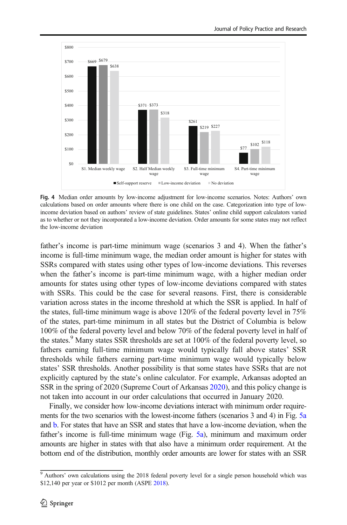<span id="page-15-0"></span>

Fig. 4 Median order amounts by low-income adjustment for low-income scenarios. Notes: Authors' own calculations based on order amounts where there is one child on the case. Categorization into type of lowincome deviation based on authors' review of state guidelines. States' online child support calculators varied as to whether or not they incorporated a low-income deviation. Order amounts for some states may not reflect the low-income deviation

father's income is part-time minimum wage (scenarios 3 and 4). When the father's income is full-time minimum wage, the median order amount is higher for states with SSRs compared with states using other types of low-income deviations. This reverses when the father's income is part-time minimum wage, with a higher median order amounts for states using other types of low-income deviations compared with states with SSRs. This could be the case for several reasons. First, there is considerable variation across states in the income threshold at which the SSR is applied. In half of the states, full-time minimum wage is above 120% of the federal poverty level in 75% of the states, part-time minimum in all states but the District of Columbia is below 100% of the federal poverty level and below 70% of the federal poverty level in half of the states.<sup>9</sup> Many states SSR thresholds are set at 100% of the federal poverty level, so fathers earning full-time minimum wage would typically fall above states' SSR thresholds while fathers earning part-time minimum wage would typically below states' SSR thresholds. Another possibility is that some states have SSRs that are not explicitly captured by the state's online calculator. For example, Arkansas adopted an SSR in the spring of 2020 (Supreme Court of Arkansas [2020](#page-30-0)), and this policy change is not taken into account in our order calculations that occurred in January 2020.

Finally, we consider how low-income deviations interact with minimum order requirements for the two scenarios with the lowest-income fathers (scenarios 3 and 4) in Fig. [5a](#page-16-0) and [b](#page-16-0). For states that have an SSR and states that have a low-income deviation, when the father's income is full-time minimum wage (Fig. [5a\)](#page-16-0), minimum and maximum order amounts are higher in states with that also have a minimum order requirement. At the bottom end of the distribution, monthly order amounts are lower for states with an SSR

<sup>&</sup>lt;sup>9</sup> Authors' own calculations using the 2018 federal poverty level for a single person household which was \$12,140 per year or \$1012 per month (ASPE [2018](#page-28-0)).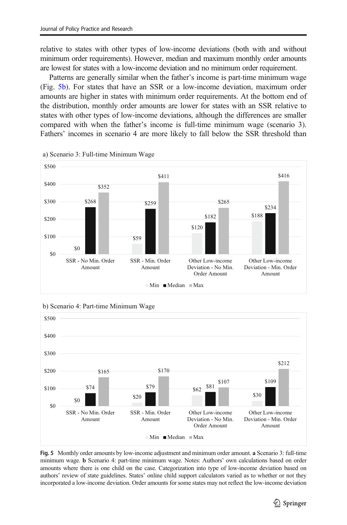<span id="page-16-0"></span>relative to states with other types of low-income deviations (both with and without minimum order requirements). However, median and maximum monthly order amounts are lowest for states with a low-income deviation and no minimum order requirement.

Patterns are generally similar when the father's income is part-time minimum wage (Fig. 5b). For states that have an SSR or a low-income deviation, maximum order amounts are higher in states with minimum order requirements. At the bottom end of the distribution, monthly order amounts are lower for states with an SSR relative to states with other types of low-income deviations, although the differences are smaller compared with when the father's income is full-time minimum wage (scenario 3). Fathers' incomes in scenario 4 are more likely to fall below the SSR threshold than



a) Scenario 3: Full-time Minimum Wage

b) Scenario 4: Part-time Minimum Wage



Fig. 5 Monthly order amounts by low-income adjustment and minimum order amount. a Scenario 3: full-time minimum wage. b Scenario 4: part-time minimum wage. Notes: Authors' own calculations based on order amounts where there is one child on the case. Categorization into type of low-income deviation based on authors' review of state guidelines. States' online child support calculators varied as to whether or not they incorporated a low-income deviation. Order amounts for some states may not reflect the low-income deviation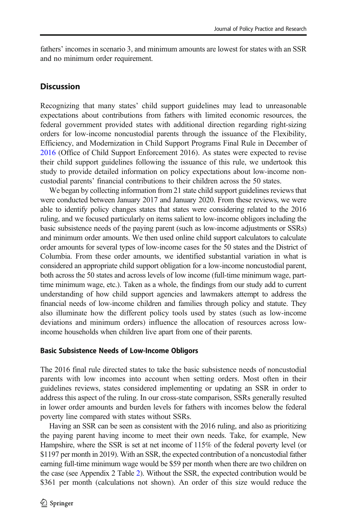fathers' incomes in scenario 3, and minimum amounts are lowest for states with an SSR and no minimum order requirement.

# **Discussion**

Recognizing that many states' child support guidelines may lead to unreasonable expectations about contributions from fathers with limited economic resources, the federal government provided states with additional direction regarding right-sizing orders for low-income noncustodial parents through the issuance of the Flexibility, Efficiency, and Modernization in Child Support Programs Final Rule in December of [2016](#page-29-0) (Office of Child Support Enforcement 2016). As states were expected to revise their child support guidelines following the issuance of this rule, we undertook this study to provide detailed information on policy expectations about low-income noncustodial parents' financial contributions to their children across the 50 states.

We began by collecting information from 21 state child support guidelines reviews that were conducted between January 2017 and January 2020. From these reviews, we were able to identify policy changes states that states were considering related to the 2016 ruling, and we focused particularly on items salient to low-income obligors including the basic subsistence needs of the paying parent (such as low-income adjustments or SSRs) and minimum order amounts. We then used online child support calculators to calculate order amounts for several types of low-income cases for the 50 states and the District of Columbia. From these order amounts, we identified substantial variation in what is considered an appropriate child support obligation for a low-income noncustodial parent, both across the 50 states and across levels of low income (full-time minimum wage, parttime minimum wage, etc.). Taken as a whole, the findings from our study add to current understanding of how child support agencies and lawmakers attempt to address the financial needs of low-income children and families through policy and statute. They also illuminate how the different policy tools used by states (such as low-income deviations and minimum orders) influence the allocation of resources across lowincome households when children live apart from one of their parents.

# Basic Subsistence Needs of Low-Income Obligors

The 2016 final rule directed states to take the basic subsistence needs of noncustodial parents with low incomes into account when setting orders. Most often in their guidelines reviews, states considered implementing or updating an SSR in order to address this aspect of the ruling. In our cross-state comparison, SSRs generally resulted in lower order amounts and burden levels for fathers with incomes below the federal poverty line compared with states without SSRs.

Having an SSR can be seen as consistent with the 2016 ruling, and also as prioritizing the paying parent having income to meet their own needs. Take, for example, New Hampshire, where the SSR is set at net income of 115% of the federal poverty level (or \$1197 per month in 2019). With an SSR, the expected contribution of a noncustodial father earning full-time minimum wage would be \$59 per month when there are two children on the case (see Appendix 2 Table [2](#page-21-0)). Without the SSR, the expected contribution would be \$361 per month (calculations not shown). An order of this size would reduce the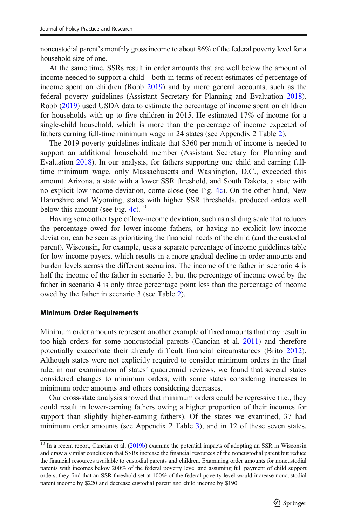noncustodial parent's monthly gross income to about 86% of the federal poverty level for a household size of one.

At the same time, SSRs result in order amounts that are well below the amount of income needed to support a child—both in terms of recent estimates of percentage of income spent on children (Robb [2019](#page-30-0)) and by more general accounts, such as the federal poverty guidelines (Assistant Secretary for Planning and Evaluation [2018\)](#page-28-0). Robb [\(2019\)](#page-30-0) used USDA data to estimate the percentage of income spent on children for households with up to five children in 2015. He estimated 17% of income for a single-child household, which is more than the percentage of income expected of fathers earning full-time minimum wage in 24 states (see Appendix 2 Table [2\)](#page-21-0).

The 2019 poverty guidelines indicate that \$360 per month of income is needed to support an additional household member (Assistant Secretary for Planning and Evaluation [2018](#page-28-0)). In our analysis, for fathers supporting one child and earning fulltime minimum wage, only Massachusetts and Washington, D.C., exceeded this amount. Arizona, a state with a lower SSR threshold, and South Dakota, a state with no explicit low-income deviation, come close (see Fig. [4c](#page-15-0)). On the other hand, New Hampshire and Wyoming, states with higher SSR thresholds, produced orders well below this amount (see Fig.  $4c$ ).<sup>10</sup>

Having some other type of low-income deviation, such as a sliding scale that reduces the percentage owed for lower-income fathers, or having no explicit low-income deviation, can be seen as prioritizing the financial needs of the child (and the custodial parent). Wisconsin, for example, uses a separate percentage of income guidelines table for low-income payers, which results in a more gradual decline in order amounts and burden levels across the different scenarios. The income of the father in scenario 4 is half the income of the father in scenario 3, but the percentage of income owed by the father in scenario 4 is only three percentage point less than the percentage of income owed by the father in scenario 3 (see Table [2\)](#page-21-0).

#### Minimum Order Requirements

Minimum order amounts represent another example of fixed amounts that may result in too-high orders for some noncustodial parents (Cancian et al. [2011\)](#page-29-0) and therefore potentially exacerbate their already difficult financial circumstances (Brito [2012\)](#page-28-0). Although states were not explicitly required to consider minimum orders in the final rule, in our examination of states' quadrennial reviews, we found that several states considered changes to minimum orders, with some states considering increases to minimum order amounts and others considering decreases.

Our cross-state analysis showed that minimum orders could be regressive (i.e., they could result in lower-earning fathers owing a higher proportion of their incomes for support than slightly higher-earning fathers). Of the states we examined, 37 had minimum order amounts (see Appendix 2 Table [3\)](#page-24-0), and in 12 of these seven states,

<sup>&</sup>lt;sup>10</sup> In a recent report, Cancian et al. [\(2019b\)](#page-29-0) examine the potential impacts of adopting an SSR in Wisconsin and draw a similar conclusion that SSRs increase the financial resources of the noncustodial parent but reduce the financial resources available to custodial parents and children. Examining order amounts for noncustodial parents with incomes below 200% of the federal poverty level and assuming full payment of child support orders, they find that an SSR threshold set at 100% of the federal poverty level would increase noncustodial parent income by \$220 and decrease custodial parent and child income by \$190.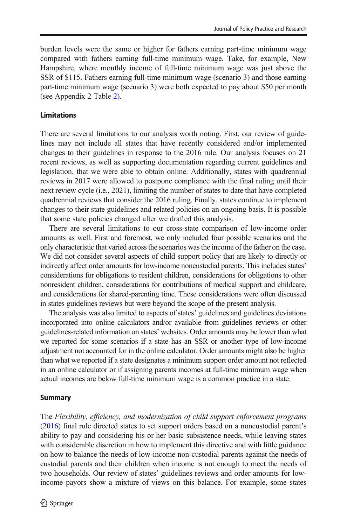burden levels were the same or higher for fathers earning part-time minimum wage compared with fathers earning full-time minimum wage. Take, for example, New Hampshire, where monthly income of full-time minimum wage was just above the SSR of \$115. Fathers earning full-time minimum wage (scenario 3) and those earning part-time minimum wage (scenario 3) were both expected to pay about \$50 per month (see Appendix 2 Table [2\)](#page-21-0).

# Limitations

There are several limitations to our analysis worth noting. First, our review of guidelines may not include all states that have recently considered and/or implemented changes to their guidelines in response to the 2016 rule. Our analysis focuses on 21 recent reviews, as well as supporting documentation regarding current guidelines and legislation, that we were able to obtain online. Additionally, states with quadrennial reviews in 2017 were allowed to postpone compliance with the final ruling until their next review cycle (i.e., 2021), limiting the number of states to date that have completed quadrennial reviews that consider the 2016 ruling. Finally, states continue to implement changes to their state guidelines and related policies on an ongoing basis. It is possible that some state policies changed after we drafted this analysis.

There are several limitations to our cross-state comparison of low-income order amounts as well. First and foremost, we only included four possible scenarios and the only characteristic that varied across the scenarios was the income of the father on the case. We did not consider several aspects of child support policy that are likely to directly or indirectly affect order amounts for low-income noncustodial parents. This includes states' considerations for obligations to resident children, considerations for obligations to other nonresident children, considerations for contributions of medical support and childcare, and considerations for shared-parenting time. These considerations were often discussed in states guidelines reviews but were beyond the scope of the present analysis.

The analysis was also limited to aspects of states' guidelines and guidelines deviations incorporated into online calculators and/or available from guidelines reviews or other guidelines-related information on states' websites. Order amounts may be lower than what we reported for some scenarios if a state has an SSR or another type of low-income adjustment not accounted for in the online calculator. Order amounts might also be higher than what we reported if a state designates a minimum support order amount not reflected in an online calculator or if assigning parents incomes at full-time minimum wage when actual incomes are below full-time minimum wage is a common practice in a state.

### Summary

The Flexibility, efficiency, and modernization of child support enforcement programs [\(2016\)](#page-29-0) final rule directed states to set support orders based on a noncustodial parent's ability to pay and considering his or her basic subsistence needs, while leaving states with considerable discretion in how to implement this directive and with little guidance on how to balance the needs of low-income non-custodial parents against the needs of custodial parents and their children when income is not enough to meet the needs of two households. Our review of states' guidelines reviews and order amounts for lowincome payors show a mixture of views on this balance. For example, some states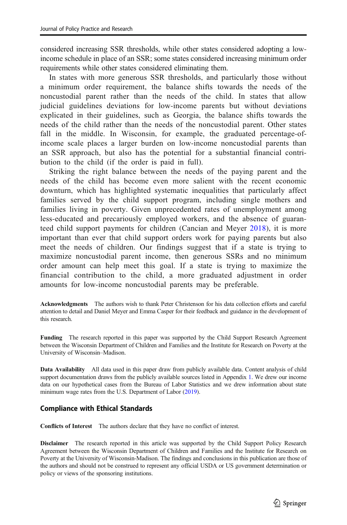considered increasing SSR thresholds, while other states considered adopting a lowincome schedule in place of an SSR; some states considered increasing minimum order requirements while other states considered eliminating them.

In states with more generous SSR thresholds, and particularly those without a minimum order requirement, the balance shifts towards the needs of the noncustodial parent rather than the needs of the child. In states that allow judicial guidelines deviations for low-income parents but without deviations explicated in their guidelines, such as Georgia, the balance shifts towards the needs of the child rather than the needs of the noncustodial parent. Other states fall in the middle. In Wisconsin, for example, the graduated percentage-ofincome scale places a larger burden on low-income noncustodial parents than an SSR approach, but also has the potential for a substantial financial contribution to the child (if the order is paid in full).

Striking the right balance between the needs of the paying parent and the needs of the child has become even more salient with the recent economic downturn, which has highlighted systematic inequalities that particularly affect families served by the child support program, including single mothers and families living in poverty. Given unprecedented rates of unemployment among less-educated and precariously employed workers, and the absence of guaranteed child support payments for children (Cancian and Meyer [2018](#page-29-0)), it is more important than ever that child support orders work for paying parents but also meet the needs of children. Our findings suggest that if a state is trying to maximize noncustodial parent income, then generous SSRs and no minimum order amount can help meet this goal. If a state is trying to maximize the financial contribution to the child, a more graduated adjustment in order amounts for low-income noncustodial parents may be preferable.

Acknowledgments The authors wish to thank Peter Christenson for his data collection efforts and careful attention to detail and Daniel Meyer and Emma Casper for their feedback and guidance in the development of this research.

Funding The research reported in this paper was supported by the Child Support Research Agreement between the Wisconsin Department of Children and Families and the Institute for Research on Poverty at the University of Wisconsin–Madison.

Data Availability All data used in this paper draw from publicly available data. Content analysis of child support documentation draws from the publicly available sources listed in Appendix 1. We drew our income data on our hypothetical cases from the Bureau of Labor Statistics and we drew information about state minimum wage rates from the U.S. Department of Labor [\(2019](#page-31-0)).

# Compliance with Ethical Standards

Conflicts of Interest The authors declare that they have no conflict of interest.

Disclaimer The research reported in this article was supported by the Child Support Policy Research Agreement between the Wisconsin Department of Children and Families and the Institute for Research on Poverty at the University of Wisconsin-Madison. The findings and conclusions in this publication are those of the authors and should not be construed to represent any official USDA or US government determination or policy or views of the sponsoring institutions.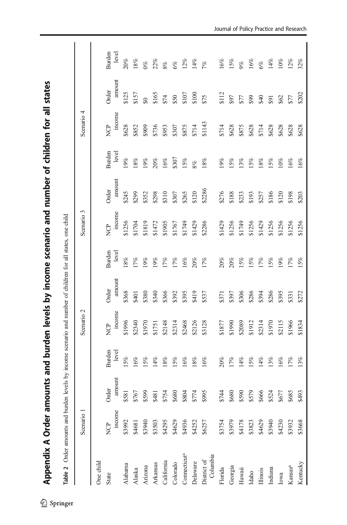Appendix A Order amounts and burden levels by income scenario and number of children for all states en levels by income scenario and number of children for all states Appendix A Order amounts and burd

<span id="page-21-0"></span>level Burden  $20%$  $18%$  $22%$  $12%$  $14\%$  $16%$  $15%$  $16%$  $14%$  $10\%$  $12%$  $32%$ Alabama \$392 \$1992 \$1251 15% \$1252 \$1258 \$638 \$1256 \$1398 \$639 \$628 \$1250 \$1258 \$628 \$629 \$1251 \$125 aska \$287 1688 \$98 \$981 \$201 1646 \$2340 \$852 \$960 \$852 \$960 \$852 \$1682 \$869 \$852 \$1  $0%$ Arkansas \$1503 \$1750 \$1751 \$1751 \$1751 \$1751 \$1751 \$1751 \$1751 \$1751 \$1751 \$1751 \$1750 \$1750 \$1750 \$1750 \$1750  $8\%$  $6%$ Connecticuta \$1936 \$2468 \$1748 \$1088 \$2468 \$2468 \$2691 \$889 \$8968 \$2468 \$1748 \$1089 \$1088 \$1089 \$107 \$1089 \$10 Delaware \$4252 \$774 18% \$2126 \$419 20% \$1429 \$120 8% \$714 \$100 14% Florida \$1754 \$18754 \$1871 \$1874 \$1874 \$1872 \$1872 \$208 \$207 \$1429 \$1279 \$1279 \$1279 \$1279 \$1279 \$12 Georgia \$3979 \$680 17% \$1990 \$397 20% \$1256 \$188 15% \$628 \$97 15%  $9%$ Idaho \$3823 \$5823 \$579 15% \$1256 \$1250 \$286 \$1251 \$1031 \$725 \$1256 \$1251 \$1251 \$1256 \$1256 \$1256 \$1256 \$1256 \$ الكات المكان المكان المكان المكان الأكان المكان المكان المكان المكان المكان المكان المكان المكان المكان المكان<br>المكان المكان المكان المكان المكان المكان المكان المكان المكان المكان المكان المكان المكان المكان المكان المكا Iowa \$4230 \$677 16% \$2115 \$395 19% \$1256 \$120 10% \$628 \$62 10% Kansasa \$685 17% \$1966 \$197% \$108 \$1256 \$1256 \$1256 \$198 17% \$628 \$628 \$628 \$628 \$628 %202 1302 1302 1302 1302 1302 1302 1532 1532 1524 \$203 16.873 16.873 16.873 16.873 16.873 16.873 16.8 7% 6% Arizona \$3940 \$599 15% \$1970 \$380 19% \$1819 \$352 19% \$909 \$0 0% California \$4295 \$754 18% \$2148 \$366 17% \$1905 \$310 16% \$953 \$74 8% 8% \$4629 \$1767 \$392 1767 \$2314 \$2314 \$307 \$309 \$1767 \$309 \$307 \$1767 \$309 \$1767 \$1767 \$307 \$307 \$407 \$1807 \$17 \$6257 \$995 16% \$3128 \$537 17% \$2286 \$2286 18% \$1143 \$75 7% Hawaii \$4178 \$590 14% \$2089 \$306 15% \$1749 \$233 13% \$875 \$77 9% الكان الأكتاب الأكتاب الأكتاب الأكتاب الأكتاب الأكتاب الأكتاب الأكتاب الأكتاب الأكتاب الأكتاب الأكتاب الأكتاب الأكت<br>المادة الأكتاب الأكتاب الأكتاب الأكتاب الأكتاب الأكتاب الأكتاب الأكتاب الأكتاب الأكتاب الأكتاب الأكتاب ال amount Order  $$125$  $$157$  $$112$ \$202  $$100$  $$165$ \$107  $$74$  $$50$  $575$ 597 577 \$99  $$40$ \$62 \$77  $591$  $\Omega$ Scenario 4 Scenario 1 Scenario 2 Scenario 3 Scenario 4 income \$1143 NCP \$628  $$714$ \$852 \$909 \$736 \$875  $$714$ \$628 \$875 \$628  $$714$ \$628  $5628$ **S953** \$307 \$628 \$628 Burden level  $9\%$ 5307 5%  $8%$  $9%$  $20%$  $6\%$  $5%$  $8%$  $9%$  $3%$ 5%  $8\%$ 5%  $0\%$  $6%$  $6%$  $8%$ amount Order \$2286 \$245 \$299 \$352 \$298 \$310 \$307 \$265 \$120 \$276 \$188 \$233  $$193$ \$257 \$186  $$120$ \$198 \$203 Scenario 3 income Table 2 Order amounts and burden levels by income scenario and number of children for all states, one child Table 2 Order amounts and burden levels by income scenario and number of children for all states, one child \$1256 \$1819 \$1704 \$1472 \$1905 \$1767 \$1749  $$1429$ \$2286 \$1429 \$1256 \$1749 \$1256 \$1429 \$1256 \$1256 \$1256 \$1256 NCP Burden level  $8\%$  $7%$  $9%$  $9%$  $7\%$  $7%$  $6\%$  $20%$  $20%$  $20%$ 5% 5%  $7%$ 5%  $9%$  $7%$  $7%$ 5% amount Order \$368 \$380 \$419 \$401 \$340 \$366 \$392 \$395 537 \$397 5306 \$286 \$394 5286 \$395 \$272 \$371 \$331 Scenario 2 income \$1996 \$2340 \$1970 \$2148 **\$2314** \$2468 \$2126 53128 \$1877 \$1990 \$2089 \$1912 \$2314 970 5115 \$1966 \$1834 \$1751 NCP Burden level  $15%$  $6%$  $5%$  $14%$  $8\%$  $5%$  $6%$  $8\%$  $6%$  $20%$  $17%$  $14%$  $5%$  $4%$  $13%$  $16%$  $17%$  $13%$ amount Order \$581 \$767 599 \$481 \$754 5680 \$804 \$774 5995 \$744 \$680 590 \$579 \$666 524 \$677 \$685 \$493 Scenario 1 income \$3992 \$3979 \$4178 \$3668 \$4681 \$3940 \$3503 \$4295 \$4629 \$4936 \$4252 \$6257 \$3754 \$3823 \$4629 \$3940 \$4230 \$3932 **D** State NCP Connecticut<sup>a</sup> Columbia Columbia District of One child California Delaware District of One child Colorado Arkansas Kentucky Alabama Arizona Georgia Kansas<sup>a</sup> Alaska Indiana Florida Hawaii **Illinois** Idaho State Iowa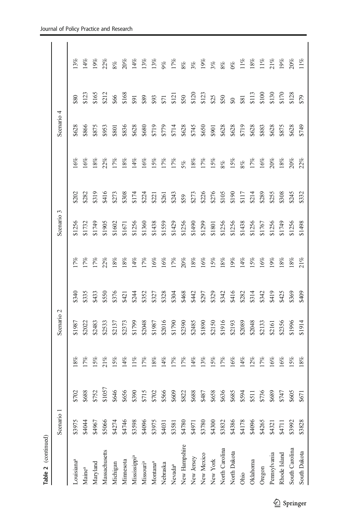| 1 |
|---|
|   |
|   |
| × |

|                          | Scenario 1       |                                                                                                                                                                                                                                                                                                               |     | Scenario 2                                     |                         |        | Scenario 3       |                                  |                        | Scenario 4                                         |                         |       |
|--------------------------|------------------|---------------------------------------------------------------------------------------------------------------------------------------------------------------------------------------------------------------------------------------------------------------------------------------------------------------|-----|------------------------------------------------|-------------------------|--------|------------------|----------------------------------|------------------------|----------------------------------------------------|-------------------------|-------|
| Louisiana <sup>a</sup>   | \$3975           |                                                                                                                                                                                                                                                                                                               | 18% | \$1987                                         | 540                     | 17%    | \$1256           | 5202                             | 6%                     | \$628                                              | 680                     | 13%   |
| Maine <sup>a</sup>       | \$4044           | \$702<br>\$688<br>\$752<br>\$1057<br>\$646                                                                                                                                                                                                                                                                    | 17% | \$2022                                         | \$335                   | 17%    | \$1732           | \$282                            | 16%                    | \$866                                              | \$123                   | 14%   |
| Maryland                 | \$4967           |                                                                                                                                                                                                                                                                                                               | 15% | \$2483                                         | \$433                   | 17%    | \$1749           | \$319                            | 18%                    | \$875                                              | \$165                   | 19%   |
| Massachusetts            | \$5066           |                                                                                                                                                                                                                                                                                                               | 21% | \$2533                                         | \$550                   | 22%    | \$1905           | 6416                             | 22%                    | \$953                                              | \$212                   | 22%   |
| Michigan                 | \$4274           |                                                                                                                                                                                                                                                                                                               | 15% | \$2137                                         | \$376                   | 18%    | \$1602           | \$273                            | 17%                    | \$801                                              | \$66                    | $8\%$ |
| Minnesota                |                  |                                                                                                                                                                                                                                                                                                               | 14% |                                                | \$421                   | 18%    | \$1671           | \$308                            | 18%                    | \$836                                              | \$168                   | 20%   |
| Mississippi <sup>a</sup> | \$4746<br>\$3598 |                                                                                                                                                                                                                                                                                                               | 11% | \$2373<br>\$1799                               | \$24                    | 14%    | \$1256           |                                  | 14%                    | \$628                                              | \$91                    | 14%   |
| Missouri <sup>a</sup>    | \$4096           |                                                                                                                                                                                                                                                                                                               | 17% | \$2048                                         | \$352                   | 17%    | \$1360           | \$174<br>\$224                   | 16%                    | \$680                                              | $\$89$                  | 13%   |
| Montana <sup>a</sup>     | \$3975           |                                                                                                                                                                                                                                                                                                               | 18% | 2861\$                                         | \$327                   | 16%    | \$1438           | \$221                            | 15%                    |                                                    |                         | 13%   |
| Nebraska                 | \$4031           |                                                                                                                                                                                                                                                                                                               | 14% | \$2016                                         | \$328                   | 16%    | \$1559           | \$261                            | 17%                    |                                                    | $$93$<br>$$71$          | $9\%$ |
| Nevada <sup>a</sup>      | \$3581           |                                                                                                                                                                                                                                                                                                               | 17% | \$1790                                         | \$304                   | 17%    | \$1429           | \$243                            | 17%                    |                                                    | \$121                   | 17%   |
| New Hampshire            | \$4780           |                                                                                                                                                                                                                                                                                                               | 17% | \$2390                                         | \$468                   | 20%    | \$1256           | \$59                             | $5\%$                  |                                                    | \$50                    | $8\%$ |
| New Jersey               | \$4971           | $\begin{array}{l} 5715 \\ 5702 \\ 5896 \\ 5966 \\ 6960 \\ 7470 \\ 8960 \\ 8960 \\ 8960 \\ 8960 \\ 8960 \\ 8960 \\ 8960 \\ 8960 \\ 8960 \\ 8960 \\ 8960 \\ 8960 \\ 8960 \\ 8960 \\ 8960 \\ 8960 \\ 8960 \\ 8960 \\ 8960 \\ 8960 \\ 8960 \\ 8960 \\ 8960 \\ 8960 \\ 8960 \\ 8960 \\ 8960 \\ 8960 \\ 8960 \\ 89$ | 14% | \$2485                                         | \$442                   | $18\%$ | \$1490           | \$273                            | 18%                    | \$719<br>\$779<br>\$628<br>\$650<br>\$650<br>\$650 | \$120                   | $3\%$ |
| New Mexico               | \$3780           |                                                                                                                                                                                                                                                                                                               | 13% | \$1890<br>\$2150<br>\$1916<br>\$2089<br>\$2048 | \$297                   | $16\%$ | \$1299           | \$226<br>\$276<br>\$105<br>\$117 | 17%                    |                                                    | \$123                   | 19%   |
| New York                 | \$4300           |                                                                                                                                                                                                                                                                                                               | 15% |                                                | \$329                   | 15%    | \$1801           |                                  |                        |                                                    | $$35$<br>$$50$<br>$$81$ | $3\%$ |
| North Carolina           | \$3832           |                                                                                                                                                                                                                                                                                                               | 17% |                                                |                         | $18\%$ | \$1256           |                                  | $15%$<br>$8%$<br>$15%$ | \$628<br>\$628<br>\$719<br>\$628                   |                         | $8\%$ |
| North Dakota             | \$4386           |                                                                                                                                                                                                                                                                                                               | 16% |                                                | \$342<br>\$416<br>\$282 | 19%    | \$1256<br>\$1438 |                                  |                        |                                                    |                         | $0\%$ |
| Ohio                     | \$4178           |                                                                                                                                                                                                                                                                                                               | 14% |                                                |                         | 14%    |                  |                                  | $8\%$                  |                                                    |                         | 11%   |
| Oklahoma                 | \$4096           |                                                                                                                                                                                                                                                                                                               | 12% |                                                | \$314                   | 15%    | \$1256           |                                  | 17%                    |                                                    | \$113                   | 18%   |
| Oregon                   | \$4265           |                                                                                                                                                                                                                                                                                                               | 17% | \$2133<br>\$2161<br>\$2356                     | \$342                   | 16%    | \$1767           | \$214<br>\$289<br>\$255<br>\$245 | 16%                    | \$883                                              | \$100                   | 11%   |
| Pennsylvania             | \$4321           |                                                                                                                                                                                                                                                                                                               | 16% |                                                | \$419<br>\$425          | 19%    |                  |                                  | 20%                    |                                                    |                         | 21%   |
| Rhode Island             | \$4711           |                                                                                                                                                                                                                                                                                                               | 16% |                                                |                         | 18%    | \$1256<br>\$1749 |                                  | 18%                    | \$628<br>\$875                                     | \$130<br>\$170<br>\$128 | 19%   |
| South Carolina           | \$3992           |                                                                                                                                                                                                                                                                                                               | 15% | \$1996                                         | \$369                   | 18%    | \$1256           |                                  | 20%                    | \$628                                              |                         | 20%   |
| South Dakota             | \$3828           | \$671                                                                                                                                                                                                                                                                                                         | 18% | \$1914                                         | \$409                   | 21%    | \$1498           | \$332                            | 22%                    | \$749                                              | \$79                    | 11%   |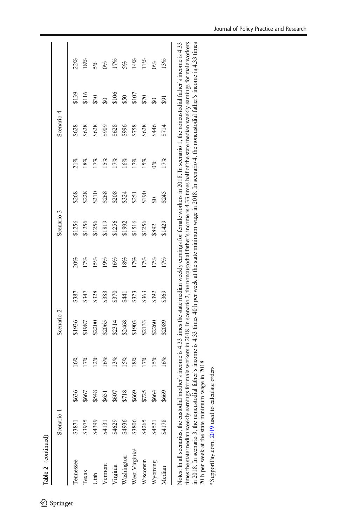|         | J<br>enaric |
|---------|-------------|
| Table 2 | mari        |

|                            | Scenario 1                                               |                         |                    | Scenario 2                                                                                                                                                                                                                                                                                                  |                     | Scenario 3                                               |       |                     | Scenario 4                       |                                                       |                         |
|----------------------------|----------------------------------------------------------|-------------------------|--------------------|-------------------------------------------------------------------------------------------------------------------------------------------------------------------------------------------------------------------------------------------------------------------------------------------------------------|---------------------|----------------------------------------------------------|-------|---------------------|----------------------------------|-------------------------------------------------------|-------------------------|
| ennessee                   | 3871                                                     | \$636                   | $ 6\%$             | \$1936                                                                                                                                                                                                                                                                                                      | 20%                 | \$1256                                                   | \$268 | 21%                 | \$628                            | \$139                                                 | 22%                     |
| Texas                      | \$3975                                                   | \$667                   | 17%                | 1987                                                                                                                                                                                                                                                                                                        | 17%                 | \$1256                                                   | \$228 | 18%                 | \$628                            |                                                       | $\frac{18\%}{5\%}$      |
| Jtah                       | \$4399                                                   | \$548                   | $\frac{12\%}{6\%}$ |                                                                                                                                                                                                                                                                                                             | 15%                 |                                                          |       | 17%<br>15%<br>16%   | \$628<br>\$909                   |                                                       |                         |
| 'ermont                    |                                                          |                         |                    |                                                                                                                                                                                                                                                                                                             | 19%                 |                                                          |       |                     |                                  |                                                       |                         |
| /irginia                   |                                                          | \$651<br>\$607<br>\$71: | 13%                |                                                                                                                                                                                                                                                                                                             | 16%                 |                                                          |       |                     |                                  |                                                       | $17\%$                  |
| Vashington                 |                                                          |                         | 15%                |                                                                                                                                                                                                                                                                                                             | 18%                 |                                                          |       |                     |                                  |                                                       |                         |
| Vest Virginia <sup>a</sup> |                                                          |                         | $\frac{8\%}{17\%}$ |                                                                                                                                                                                                                                                                                                             | $\frac{17\%}{17\%}$ |                                                          |       |                     |                                  |                                                       |                         |
| Visconsin                  | \$4131<br>\$4629<br>\$4936<br>\$4321<br>\$4521<br>\$4178 | \$669<br>\$725<br>\$664 |                    | $\begin{array}{l} 82200 \\ 82065 \\ 82314 \\ 82468 \\ 81903 \\ 81133 \\ 82260 \\ 82280 \\ 8240 \\ 8240 \\ 8240 \\ 8240 \\ 8240 \\ 8240 \\ 8240 \\ 8240 \\ 8240 \\ 8240 \\ 8240 \\ 8240 \\ 8240 \\ 8240 \\ 8240 \\ 8240 \\ 8240 \\ 8240 \\ 8240 \\ 8240 \\ 8240 \\ 8240 \\ 8240 \\ 8240 \\ 8240 \\ 8240 \\ $ |                     | \$1256<br>\$1819<br>\$1256<br>\$1315<br>\$1256<br>\$1429 |       | $\frac{17\%}{15\%}$ | \$628<br>\$996<br>\$758<br>\$628 | \$116<br>\$30<br>\$50<br>\$50<br>\$90<br>\$91<br>\$91 | 5%<br>14%<br>11%<br>13% |
| Vyoming                    |                                                          |                         | 15%                |                                                                                                                                                                                                                                                                                                             | 17%                 |                                                          |       |                     |                                  |                                                       |                         |
| Aedian                     |                                                          | \$669                   | 6%                 |                                                                                                                                                                                                                                                                                                             | 17%                 |                                                          |       | 17%                 | \$714                            |                                                       |                         |
|                            |                                                          |                         |                    |                                                                                                                                                                                                                                                                                                             |                     |                                                          |       |                     |                                  |                                                       |                         |

Notes: In all scenarios, the custodial mother's income is 4.33 times the state median weekly earnings for female workers in 2018. In scenario 1, the noncustodial father's income is 4.33 times the state median weekly earnings for male workers in 2018. In scenario 2, the noncustodial father's income is 4.33 times half of the state median weekly earnings for male workers in 2018. In scenario 3, the noncustodial father's income is 4.33 times 40 h per week at the state minimum wage in 2018. In scenario 4, the noncustodial father's income is 4.33 times Notes: In all scenarios, the custodial mother's income is 4.33 times the state median weekly earnings for female workers in 2018. In scenario 1, the noncustodial father's income is 4.33 times the state median weekly earnings for male workers in 2018. In scenario 2, the noncustodial father's income is 4.33 times half of the state median weekly earnings for male workers in 2018. In scenario 3, the noncustodial father's income is 4.33 times 40 h per week at the state minimum wage in 2018. In scenario 4, the noncustodial father's income is 4.33 times 20 h per week at the state minimum wage in 2018 20 h per week at the state minimum wage in 2018

<sup>a</sup>SupportPay.com, 2019 used to calculate orders SupportPay.com, [2019](#page-30-0) used to calculate orders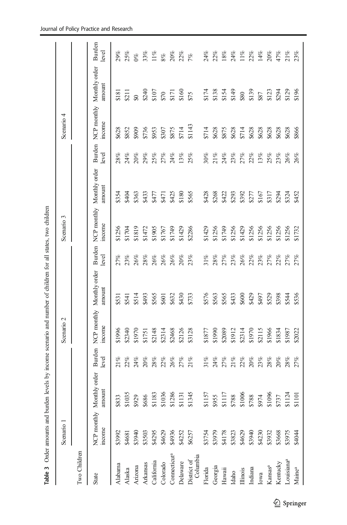<span id="page-24-0"></span>

|                          | Table 3 Order amounts and burden |                                            |                                        |                                     | levels by income scenario and number of children for all states, two children |                          |                       |                         |                         |                                     |                            |                 |
|--------------------------|----------------------------------|--------------------------------------------|----------------------------------------|-------------------------------------|-------------------------------------------------------------------------------|--------------------------|-----------------------|-------------------------|-------------------------|-------------------------------------|----------------------------|-----------------|
|                          | Scenario 1                       |                                            |                                        | Scenario 2                          |                                                                               |                          | Scenario 3            |                         |                         | Scenario 4                          |                            |                 |
| Two Children             |                                  |                                            |                                        |                                     |                                                                               |                          |                       |                         |                         |                                     |                            |                 |
| <b>State</b>             | income                           | NCP monthly Monthly order<br>income amount | Burden<br>level                        | NCP monthly Monthly order<br>income | amount                                                                        | Burden<br>level          | NCP monthly<br>income | Monthly order<br>amount | Burden<br>level         | NCP monthly Monthly order<br>income | amount                     | Burden<br>level |
| Alabama                  | \$3992                           | \$833                                      | 21%                                    | \$1996                              | \$531                                                                         | 27%                      | \$1256                | \$354                   | 28%                     | \$628                               | \$181                      | 29%             |
| Alaska                   | \$4681                           | \$1035                                     |                                        | \$2340                              | \$541                                                                         | 23%                      | \$1704                | \$404                   | 24%                     | \$852                               | \$211                      | 25%             |
| Arizona                  | \$3940                           | \$929                                      | 22 %<br>24 %                           | \$1970                              | \$514                                                                         | 26%                      | \$1819                | \$363                   | 20%                     | \$909                               | $\boldsymbol{\mathcal{L}}$ | $0\%$           |
| Arkansas                 | \$3503                           | \$686                                      | 20%<br>20% 20% 20%<br>20% 20% 20%      | \$1751                              | \$493                                                                         | 28%                      | \$1472                | \$433                   |                         | \$736                               | \$240                      | 33%             |
| California               | \$4295                           |                                            |                                        | \$2148                              | \$565                                                                         | 26%                      | \$1905                | \$477                   | 29%<br>25%<br>27%       | \$953                               | \$107                      | $11\%$          |
| Colorado                 | \$4629                           |                                            |                                        | \$2314                              | \$601                                                                         | 26%                      | \$1767                | \$471                   |                         | \$307                               | $0\ell\$                   | $8\%$           |
| Connecticut <sup>a</sup> | \$4936                           | \$1183<br>\$1036<br>\$1286<br>\$1131       |                                        | \$2468                              | \$632                                                                         | 26%                      | \$1749                | \$425                   | 24%                     | \$875                               | \$171                      | 20%             |
| Delaware                 | \$4252                           |                                            |                                        | \$2126                              | \$430                                                                         | 20%                      | \$1429                | \$180                   | 13%                     | \$714                               | \$160                      | 22%             |
| Columbia<br>District of  | \$6257                           | \$1345                                     |                                        | \$3128                              | \$733                                                                         | 23%                      | \$2286                | \$565                   | 25%                     | \$1143                              | \$75                       | $7\%$           |
| Florida                  | \$3754                           | \$1157                                     | 31%                                    | \$1877                              | \$576                                                                         | 31%                      | \$1429                | \$428                   | 30%                     | \$714                               | \$174                      | 24%             |
| Georgia                  | \$3979                           | \$955                                      | 20<br>2020 2020 2020<br>2020 2020 2020 | \$1990                              | \$563                                                                         |                          | \$1256                | \$268                   | 21%                     | \$628                               | \$138                      | 22%             |
| Hawaii                   | \$4178                           | \$1117                                     |                                        | \$2089                              | \$565                                                                         | 28%<br>27%<br>23%        | \$1749                | \$422                   | 24%<br>23%              | \$875                               | \$154                      | 18%             |
| Idaho                    | \$3823                           | \$788                                      |                                        | \$1912                              | \$433                                                                         |                          | \$1256                | \$293                   |                         | \$628                               | \$149                      | 24%             |
| Illinois                 | \$4629                           | \$1006                                     |                                        | \$2314                              | \$600                                                                         |                          | \$1429                | \$392                   | 27%<br>22%              | \$714                               | $980$                      | 11%             |
| Indiana                  | \$3940                           | \$788                                      |                                        | \$1970                              | \$429                                                                         | 26%<br>22%<br>23%<br>22% | \$1256                | \$277                   |                         | \$628                               | \$139                      | 22%             |
| Iowa                     | \$4230                           | \$974                                      |                                        | \$2115                              | \$497                                                                         |                          | \$1256                | \$167                   | $13%$<br>$25%$<br>$23%$ | \$628                               | \$87                       | 14%             |
| Kansas <sup>a</sup>      | \$3932                           | \$1096                                     |                                        | \$1966                              | \$529                                                                         |                          | \$1256                | \$317                   |                         | \$628                               | \$123                      | 20%             |
| Kentucky                 | \$3668                           | \$737                                      |                                        | \$1834                              | \$398                                                                         |                          | \$1256                | \$294                   |                         | \$628                               | \$294                      | 47%             |
| Louisiana <sup>a</sup>   | \$3975                           | \$1124                                     | 28%                                    | \$1987                              | \$544                                                                         | 27%                      | \$1256                | \$324                   | 26%                     | \$628                               | \$129                      | 21%             |
| Maine <sup>a</sup>       | \$4044                           | \$1101                                     | 27%                                    | \$2022                              | \$536                                                                         | 27%                      | \$1732                | \$452                   | 26%                     | \$866                               | \$196                      | 23%             |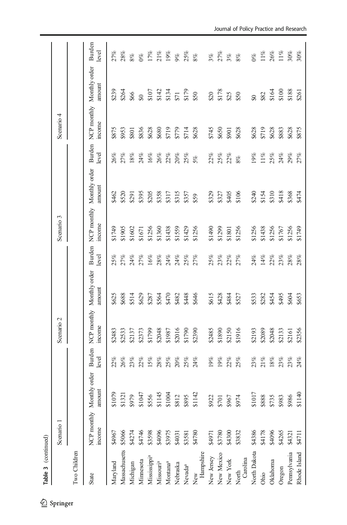| Table 3 (continued)   |                  |                                            |                |            |                                     |                 |            |                                     |                 |                                     |                            |                 |
|-----------------------|------------------|--------------------------------------------|----------------|------------|-------------------------------------|-----------------|------------|-------------------------------------|-----------------|-------------------------------------|----------------------------|-----------------|
|                       | Scenario 1       |                                            |                | Scenario 2 |                                     |                 | Scenario 3 |                                     |                 | Scenario 4                          |                            |                 |
| Two Children          |                  |                                            |                |            |                                     |                 |            |                                     |                 |                                     |                            |                 |
| State                 |                  | NCP monthly Monthly order<br>income amount | Burden<br>evel | income     | NCP monthly Monthly order<br>amount | Burden<br>level | income     | NCP monthly Monthly order<br>amount | Burden<br>level | NCP monthly Monthly order<br>income | amount                     | Burden<br>level |
| Maryland              | \$4967           | \$1079                                     | 22%            | \$2483     | \$625                               | 25%             | \$1749     | \$462                               | 26%             | \$875                               | \$239                      | 27%             |
| Massachusetts         | \$5066           | \$1321                                     | 26%            | \$2533     | \$688                               | 27%             | \$1905     | \$520                               | 27%             | \$953                               | \$264                      | 28%             |
| Michigan              | \$4274           | \$979                                      | 23%            | \$2137     | \$514                               | 24%             | \$1602     | \$291                               | 18%             | \$801                               | \$66                       | $8\%$           |
| Minnesota             | \$4746           | \$1047                                     | 22%            | \$2373     | \$629                               | 27%             | \$1671     | \$395                               | 24%             | \$836                               | $\Omega$                   | $0\%$           |
| Mississippia          | \$3598           | \$556                                      | 15%            | \$1799     | \$287                               | 16%             | \$1256     | \$205                               | 16%             | \$628                               | \$107                      | 17%             |
| Missouri <sup>a</sup> | \$4096<br>\$3975 | \$1145                                     | 28%            | \$2048     | \$564                               | 28%             | \$1360     | \$358                               | 26%             | \$680                               | \$142                      | 21%             |
| Montana <sup>a</sup>  |                  | \$1004                                     | 25%            | \$1987     | \$470                               | 24%             | \$1438     | \$317                               | 22%             | \$719                               | \$134                      | 19%             |
| Nebraska              | \$4031           | \$812                                      | 20%            | \$2016     | \$482                               | 24%             | \$1559     | \$315                               | 20%             | \$779                               | $1\angle 3$                | $9\%$           |
| Nevada <sup>a</sup>   | \$3581           | \$895                                      | 25%            | \$1790     | \$448                               | 25%             | \$1429     | \$357                               | 25%             | \$714                               | \$179                      | 25%             |
| Hampshire<br>New      | \$4780           | \$1142                                     | 24%            | \$2390     | \$646                               | 27%             | \$1256     | \$59                                | 5%              | \$628                               | \$50                       | $8\%$           |
| New Jersey            | 1264\$           | \$922                                      | 19%            | \$2485     | \$615                               | 25%             | \$1490     | \$329                               | 22%             | \$745                               | \$20                       | 3%              |
| New Mexico            | \$3780           | \$701                                      | 19%            | \$1890     | \$428                               | 23%             | \$1299     | \$327                               | 25%<br>22%      | \$650                               | \$178                      | 27%             |
| New York              | \$4300           | \$967                                      | 22%            | \$2150     | \$484                               | 22%             | \$1801     | \$405                               |                 | \$901                               | \$25                       | $3\%$           |
| Carolina<br>North     | \$3832           | \$974                                      | 25%            | \$1916     | \$527                               | 27%             | \$1256     | \$106                               | $8\%$           | \$628                               | \$50                       | $8\%$           |
| North Dakota          | \$4386           | \$1017                                     | 23%            | \$2193     | \$533                               | 24%             | \$1256     | \$240                               | 19%             | \$628                               | $\boldsymbol{\mathcal{L}}$ | $0\%$           |
| Ohio                  | \$4178           | \$888                                      | 21%            | \$2089     | \$282                               | 14%             | \$1438     | \$154                               | 11%             | \$719                               | \$82                       | 11%             |
| Oklahoma              | \$4096           | \$735                                      | 18%            | \$2048     | \$454                               | 22%             | \$1256     | \$310                               | 25%             | \$628                               | \$164                      | 26%             |
| Oregon                | \$4265           | \$983                                      | 23%            | \$2133     | \$495                               | 23%             | \$1767     | \$418                               | 24%             | \$883                               | \$100                      | 11%             |
| Pennsylvania          | \$4321           | \$986                                      | 23%            | \$2161     | \$604                               | 28%             | \$1256     | \$368                               | 29%             | \$628                               | \$188                      | 30%             |
| Rhode Island          | <b>ELLER</b>     | \$1140                                     | 24%            | \$2356     | \$653                               | 28%             | \$1749     | \$474                               | 27%             | \$875                               | \$261                      | 30%             |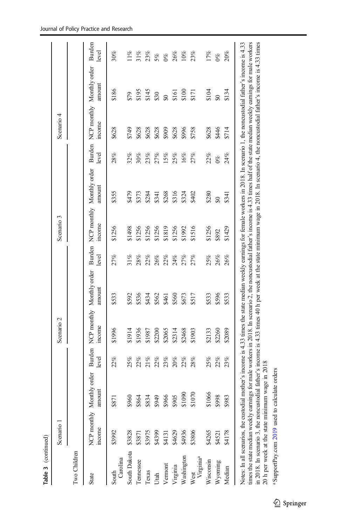| c<br>۱ |
|--------|
|        |
|        |

|                               | Scenario 1 |                                                                                                                                                                                                                                                                                                                                                                                                                |                   | Scenario 2 |                                            |       | Scenario 3 |                                            |       | Scenario 4 |                                            |                      |
|-------------------------------|------------|----------------------------------------------------------------------------------------------------------------------------------------------------------------------------------------------------------------------------------------------------------------------------------------------------------------------------------------------------------------------------------------------------------------|-------------------|------------|--------------------------------------------|-------|------------|--------------------------------------------|-------|------------|--------------------------------------------|----------------------|
| Two Children                  |            |                                                                                                                                                                                                                                                                                                                                                                                                                |                   |            |                                            |       |            |                                            |       |            |                                            |                      |
| State                         | income     | NCP monthly Monthly order<br>amount                                                                                                                                                                                                                                                                                                                                                                            | level             | income     | Burden NCP monthly Monthly order<br>amount | level | income     | Burden NCP monthly Monthly order<br>amount | level | income     | Burden NCP monthly Monthly order<br>amount | Burden<br>level      |
| Carolina<br>South             | \$3992     | \$871                                                                                                                                                                                                                                                                                                                                                                                                          | 22%               | \$1996     | \$533                                      | 27%   | \$1256     | \$355                                      | 28%   | \$628      | \$186                                      | $30\%$               |
| South Dakota                  | \$3828     | \$960                                                                                                                                                                                                                                                                                                                                                                                                          | 25%               | \$1914     | \$592                                      | 31%   | \$1498     | 6243                                       | 32%   | \$749      | \$79                                       | $11\%$               |
| Tennessee                     | \$3871     | \$864                                                                                                                                                                                                                                                                                                                                                                                                          | 22%               | \$1936     | \$536                                      | 28%   | \$1256     | \$373                                      | 30%   | \$628      | \$195                                      | 31%                  |
| Texas                         | \$3975     | \$834                                                                                                                                                                                                                                                                                                                                                                                                          | 21%               | \$1987     | \$434                                      | 22%   | \$1256     | \$284                                      | 23%   | \$628      | \$145                                      | 23%                  |
| Utah                          | \$4399     | \$949                                                                                                                                                                                                                                                                                                                                                                                                          |                   | \$2200     | \$562                                      | 26%   | \$1256     | \$341                                      | 27%   | \$628      | \$30                                       | 5%                   |
| Vernont                       | \$4131     | \$966                                                                                                                                                                                                                                                                                                                                                                                                          |                   | \$2065     | \$461                                      | 22%   | \$1819     | \$268                                      | 15%   | \$909      | $\Omega$                                   | $0\%$                |
| Virginia                      | \$4629     | \$905                                                                                                                                                                                                                                                                                                                                                                                                          | 22%<br>23%<br>20% | \$2314     | \$560                                      | 24%   | \$1256     | \$316                                      | 25%   | \$628      | \$161                                      | 26%                  |
| Washington                    | \$4936     | \$1090                                                                                                                                                                                                                                                                                                                                                                                                         | 22%               | \$2468     | \$673                                      | 27%   | \$1992     | \$324                                      | 16%   | \$996      | \$100                                      | $10\%$               |
| Virginia <sup>a</sup><br>West | \$3806     | \$1070                                                                                                                                                                                                                                                                                                                                                                                                         | 28%               | \$1903     | \$17                                       | 27%   | \$1516     | \$402                                      | 27%   | \$758      | \$171                                      | 23%                  |
| Wisconsin                     | \$4265     | \$1066                                                                                                                                                                                                                                                                                                                                                                                                         | 25%               | \$2133     | \$533                                      | 25%   | \$1256     | \$280                                      | 22%   | \$628      | \$104                                      | 17%                  |
| Wyoming                       | \$4521     | 8998                                                                                                                                                                                                                                                                                                                                                                                                           | 22%               | \$2260     | \$596                                      | 26%   | \$892      | $\mathfrak{D}$                             | $0\%$ | \$446      | $\mathfrak{D}$                             | $0\%$                |
| Median                        | \$4178     | \$983                                                                                                                                                                                                                                                                                                                                                                                                          | 23%               | \$2089     | \$533                                      | 26%   | \$1429     | \$341                                      | 24%   | \$714      | \$134                                      | 20%                  |
|                               |            | times the state median weekly earnings for male workers in 2018. In scenario 2, the noncustodial father's income is 4.33 times half of the state median weekly earnings for male workers<br>Notes: In all scenarios, the custodial mother's income is 4.33 times the state median weekly earnings for female workers in 2018. In scenario 1, the noncustodial father's income is 4.33<br>$(1 - 1 - 1 - 1 - 1)$ |                   |            |                                            |       |            |                                            |       |            |                                            | $\sim$ $\sim$ $\sim$ |

in 2018. In scenario 3, the noncustodial father's income is 4.33 times 40 h per week at the state minimum wage in 2018. In scenario 4, the noncustodial father's income is 4.33 times 20 h per week at the state minimum wage in 2018. In scenario 3, the noncustodial father's income is 4.33 times 40 h per week at the state minimum wage in 2018. In scenario 4, the noncustodial father's income is 4.33 times 20 h per week at the state minimum wage in 2018

a SupportPay.com 2019 used to calculate orders SupportPay.com [2019](#page-30-0) used to calculate orders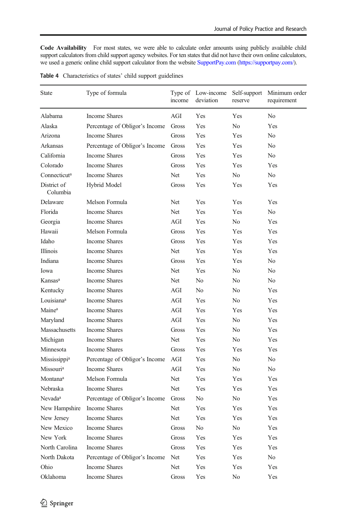<span id="page-27-0"></span>Code Availability For most states, we were able to calculate order amounts using publicly available child support calculators from child support agency websites. For ten states that did not have their own online calculators, we used a generic online child support calculator from the website [SupportPay.com](https://aspe.hhs.gov/2018-poverty-guidelines) [\(https://supportpay.com/](http://www.ncsea.org/documents/Imputed-Income-and-Default-Practices_CSQ-April-2017.pdf)).

| State                    | Type of formula                | Type of<br>income | Low-income<br>deviation | Self-support<br>reserve | Minimum order<br>requirement |
|--------------------------|--------------------------------|-------------------|-------------------------|-------------------------|------------------------------|
| Alabama                  | <b>Income Shares</b>           | AGI               | Yes                     | Yes                     | N <sub>o</sub>               |
| Alaska                   | Percentage of Obligor's Income | Gross             | <b>Yes</b>              | N <sub>0</sub>          | Yes                          |
| Arizona                  | <b>Income Shares</b>           | Gross             | Yes                     | Yes                     | No.                          |
| Arkansas                 | Percentage of Obligor's Income | Gross             | Yes                     | Yes                     | No.                          |
| California               | <b>Income Shares</b>           | Gross             | Yes                     | Yes                     | No.                          |
| Colorado                 | <b>Income Shares</b>           | Gross             | Yes                     | Yes                     | Yes                          |
| Connecticut <sup>a</sup> | <b>Income Shares</b>           | Net               | Yes                     | N <sub>o</sub>          | No.                          |
| District of<br>Columbia  | Hybrid Model                   | Gross             | Yes                     | Yes                     | Yes                          |
| Delaware                 | Melson Formula                 | Net               | Yes                     | Yes                     | Yes                          |
| Florida                  | <b>Income Shares</b>           | <b>Net</b>        | Yes                     | Yes                     | No.                          |
| Georgia                  | <b>Income Shares</b>           | AGI               | Yes                     | N <sub>o</sub>          | Yes                          |
| Hawaii                   | Melson Formula                 | Gross             | Yes                     | Yes                     | <b>Yes</b>                   |
| Idaho                    | <b>Income Shares</b>           | Gross             | Yes                     | Yes                     | Yes                          |
| <b>Illinois</b>          | <b>Income Shares</b>           | <b>Net</b>        | Yes                     | Yes                     | <b>Yes</b>                   |
| Indiana                  | <b>Income Shares</b>           | Gross             | Yes                     | Yes                     | No.                          |
| Iowa                     | <b>Income Shares</b>           | Net               | Yes                     | N <sub>o</sub>          | No.                          |
| Kansas <sup>a</sup>      | <b>Income Shares</b>           | <b>Net</b>        | N <sub>0</sub>          | No.                     | No.                          |
| Kentucky                 | <b>Income Shares</b>           | AGI               | No.                     | N <sub>o</sub>          | Yes                          |
| Louisiana <sup>a</sup>   | <b>Income Shares</b>           | AGI               | Yes                     | N <sub>0</sub>          | Yes                          |
| Maine <sup>a</sup>       | <b>Income Shares</b>           | AGI               | Yes                     | Yes                     | Yes                          |
| Maryland                 | <b>Income Shares</b>           | AGI               | Yes                     | N <sub>0</sub>          | <b>Yes</b>                   |
| Massachusetts            | <b>Income Shares</b>           | Gross             | Yes                     | N <sub>0</sub>          | Yes                          |
| Michigan                 | <b>Income Shares</b>           | Net               | Yes                     | N <sub>0</sub>          | Yes                          |
| Minnesota                | Income Shares                  | Gross             | Yes                     | Yes                     | Yes                          |
| Mississippia             | Percentage of Obligor's Income | AGI               | Yes                     | N <sub>0</sub>          | No.                          |
| Missouri <sup>a</sup>    | <b>Income Shares</b>           | AGI               | Yes                     | N <sub>0</sub>          | No.                          |
| Montana <sup>a</sup>     | Melson Formula                 | Net               | Yes                     | Yes                     | Yes                          |
| Nebraska                 | <b>Income Shares</b>           | Net               | Yes                     | Yes                     | Yes                          |
| Nevada <sup>a</sup>      | Percentage of Obligor's Income | Gross             | No.                     | No                      | Yes                          |
| New Hampshire            | <b>Income Shares</b>           | Net.              | Yes                     | Yes                     | Yes                          |
| New Jersey               | <b>Income Shares</b>           | Net               | Yes                     | Yes                     | <b>Yes</b>                   |
| New Mexico               | <b>Income Shares</b>           | Gross             | N <sub>o</sub>          | N <sub>0</sub>          | Yes                          |
| New York                 | Income Shares                  | Gross             | Yes                     | Yes                     | Yes                          |
| North Carolina           | <b>Income Shares</b>           | Gross             | Yes                     | Yes                     | Yes                          |
| North Dakota             | Percentage of Obligor's Income | Net               | Yes                     | Yes                     | No                           |
| Ohio                     | <b>Income Shares</b>           | Net               | Yes                     | Yes                     | Yes                          |
| Oklahoma                 | <b>Income Shares</b>           | Gross             | Yes                     | N <sub>0</sub>          | Yes                          |

Table 4 Characteristics of states' child support guidelines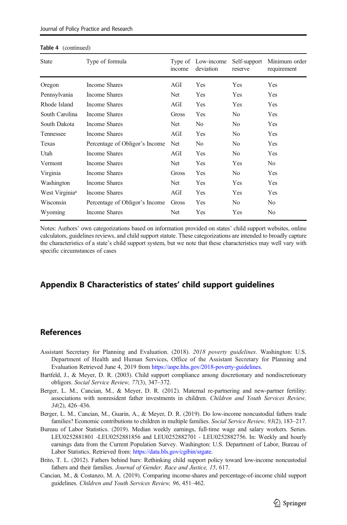#### <span id="page-28-0"></span>Table 4 (continued)

| State                      | Type of formula                | income | Type of Low-income<br>deviation | Self-support<br>reserve | Minimum order<br>requirement |
|----------------------------|--------------------------------|--------|---------------------------------|-------------------------|------------------------------|
| Oregon                     | Income Shares                  | AGI    | Yes                             | Yes                     | Yes                          |
| Pennsylvania               | Income Shares                  | Net    | Yes                             | Yes                     | Yes                          |
| Rhode Island               | Income Shares                  | AGI    | Yes                             | Yes                     | Yes                          |
| South Carolina             | Income Shares                  | Gross  | Yes                             | No                      | Yes                          |
| South Dakota               | <b>Income Shares</b>           | Net    | N <sub>0</sub>                  | N <sub>0</sub>          | Yes                          |
| Tennessee                  | Income Shares                  | AGI    | Yes                             | No                      | Yes                          |
| Texas                      | Percentage of Obligor's Income | Net    | No                              | No                      | Yes                          |
| Utah                       | Income Shares                  | AGI    | Yes                             | No                      | Yes                          |
| Vermont                    | Income Shares                  | Net    | Yes                             | Yes                     | No.                          |
| Virginia                   | Income Shares                  | Gross  | Yes                             | No.                     | Yes                          |
| Washington                 | Income Shares                  | Net    | Yes                             | Yes                     | Yes                          |
| West Virginia <sup>a</sup> | Income Shares                  | AGI    | Yes                             | Yes                     | Yes                          |
| Wisconsin                  | Percentage of Obligor's Income | Gross  | Yes                             | N0                      | No.                          |
| Wyoming                    | <b>Income Shares</b>           | Net    | Yes                             | Yes                     | No                           |

Notes: Authors' own categorizations based on information provided on states' child support websites, online calculators, guidelines reviews, and child support statute. These categorizations are intended to broadly capture the characteristics of a state's child support system, but we note that these characteristics may well vary with specific circumstances of cases

## Appendix B Characteristics of states' child support guidelines

#### References

- Assistant Secretary for Planning and Evaluation. (2018). 2018 poverty guidelines. Washington: U.S. Department of Health and Human Services, Office of the Assistant Secretary for Planning and Evaluation Retrieved June 4, 2019 from <https://aspe.hhs.gov/2018-poverty-guidelines>.
- Bartfeld, J., & Meyer, D. R. (2003). Child support compliance among discretionary and nondiscretionary obligors. Social Service Review, 77(3), 347–372.
- Berger, L. M., Cancian, M., & Meyer, D. R. (2012). Maternal re-partnering and new-partner fertility: associations with nonresident father investments in children. Children and Youth Services Review, 34(2), 426–436.
- Berger, L. M., Cancian, M., Guarin, A., & Meyer, D. R. (2019). Do low-income noncustodial fathers trade families? Economic contributions to children in multiple families. Social Service Review, 93(2), 183–217.
- Bureau of Labor Statistics. (2019). Median weekly earnings, full-time wage and salary workers. Series. LEU0252881801 -LEU0252881856 and LEU0252882701 - LEU0252882756. In: Weekly and hourly earnings data from the Current Population Survey. Washington: U.S. Department of Labor, Bureau of Labor Statistics. Retrieved from: [https://data.bls.gov/cgibin/srgate.](https://data.bls.gov/cgibin/srgate)
- Brito, T. L. (2012). Fathers behind bars: Rethinking child support policy toward low-income noncustodial fathers and their families. Journal of Gender, Race and Justice, 15, 617.
- Cancian, M., & Costanzo, M. A. (2019). Comparing income-shares and percentage-of-income child support guidelines. Children and Youth Services Review, 96, 451–462.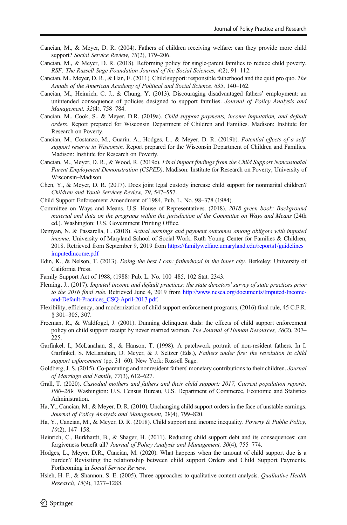- <span id="page-29-0"></span>Cancian, M., & Meyer, D. R. (2004). Fathers of children receiving welfare: can they provide more child support? Social Service Review, 78(2), 179–206.
- Cancian, M., & Meyer, D. R. (2018). Reforming policy for single-parent families to reduce child poverty. RSF: The Russell Sage Foundation Journal of the Social Sciences, 4(2), 91–112.
- Cancian, M., Meyer, D. R., & Han, E. (2011). Child support: responsible fatherhood and the quid pro quo. The Annals of the American Academy of Political and Social Science, 635, 140–162.
- Cancian, M., Heinrich, C. J., & Chung, Y. (2013). Discouraging disadvantaged fathers' employment: an unintended consequence of policies designed to support families. Journal of Policy Analysis and Management, 32(4), 758–784.
- Cancian, M., Cook, S., & Meyer, D.R. (2019a). Child support payments, income imputation, and default orders. Report prepared for Wisconsin Department of Children and Families. Madison: Institute for Research on Poverty.
- Cancian, M., Costanzo, M., Guarin, A., Hodges, L., & Meyer, D. R. (2019b). Potential effects of a selfsupport reserve in Wisconsin. Report prepared for the Wisconsin Department of Children and Families. Madison: Institute for Research on Poverty.
- Cancian, M., Meyer, D. R., & Wood, R. (2019c). Final impact findings from the Child Support Noncustodial Parent Employment Demonstration (CSPED). Madison: Institute for Research on Poverty, University of Wisconsin–Madison.
- Chen, Y., & Meyer, D. R. (2017). Does joint legal custody increase child support for nonmarital children? Children and Youth Services Review, 79, 547–557.
- Child Support Enforcement Amendment of 1984, Pub. L. No. 98–378 (1984).
- Committee on Ways and Means, U.S. House of Representatives. (2018). 2018 green book: Background material and data on the programs within the jurisdiction of the Committee on Ways and Means (24th ed.). Washington: U.S. Government Printing Office.
- Demyan, N. & Passarella, L. (2018). Actual earnings and payment outcomes among obligors with imputed income. University of Maryland School of Social Work, Ruth Young Center for Families & Children, 2018. Retrieved from September 9, 2019 from [https://familywelfare.umaryland.edu/reports1/guidelines\\_](https://familywelfare.umaryland.edu/reports1/guidelines_imputedincome.pdf) [imputedincome.pdf](https://familywelfare.umaryland.edu/reports1/guidelines_imputedincome.pdf)
- Edin, K., & Nelson, T. (2013). Doing the best I can: fatherhood in the inner city. Berkeley: University of California Press.
- Family Support Act of 1988, (1988) Pub. L. No. 100–485, 102 Stat. 2343.
- Fleming, J.. (2017). Imputed income and default practices: the state directors' survey of state practices prior to the 2016 final rule. Retrieved June 4, 2019 from [http://www.ncsea.org/documents/Imputed-Income](http://www.ncsea.org/documents/Imputed-Income-and-Default-Practices_CSQ-April-2017.pdf)[and-Default-Practices\\_CSQ-April-2017.pdf.](http://www.ncsea.org/documents/Imputed-Income-and-Default-Practices_CSQ-April-2017.pdf)
- Flexibility, efficiency, and modernization of child support enforcement programs, (2016) final rule, 45 C.F.R. § 301–305, 307.
- Freeman, R., & Waldfogel, J. (2001). Dunning delinquent dads: the effects of child support enforcement policy on child support receipt by never married women. The Journal of Human Resources, 36(2), 207– 225.
- Garfinkel, I., McLanahan, S., & Hanson, T. (1998). A patchwork portrait of non-resident fathers. In I. Garfinkel, S. McLanahan, D. Meyer, & J. Seltzer (Eds.), Fathers under fire: the revolution in child support enforcement (pp. 31–60). New York: Russell Sage.
- Goldberg, J. S. (2015). Co-parenting and nonresident fathers' monetary contributions to their children. Journal of Marriage and Family, 77(3), 612–627.
- Grall, T. (2020). Custodial mothers and fathers and their child support: 2017, Current population reports, P60–269. Washington: U.S. Census Bureau, U.S. Department of Commerce, Economic and Statistics Administration.
- Ha, Y., Cancian, M., & Meyer, D. R. (2010). Unchanging child support orders in the face of unstable earnings. Journal of Policy Analysis and Management, 29(4), 799–820.
- Ha, Y., Cancian, M., & Meyer, D. R. (2018). Child support and income inequality. Poverty & Public Policy, 10(2), 147–158.
- Heinrich, C., Burkhardt, B., & Shager, H. (2011). Reducing child support debt and its consequences: can forgiveness benefit all? Journal of Policy Analysis and Management, 30(4), 755–774.
- Hodges, L., Meyer, D.R., Cancian, M. (2020). What happens when the amount of child support due is a burden? Revisiting the relationship between child support Orders and Child Support Payments. Forthcoming in Social Service Review.
- Hsieh, H. F., & Shannon, S. E. (2005). Three approaches to qualitative content analysis. *Qualitative Health* Research, 15(9), 1277–1288.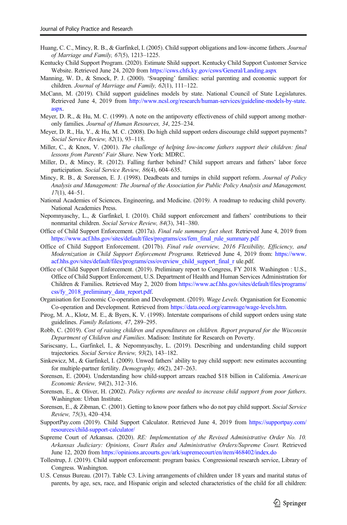- <span id="page-30-0"></span>Huang, C. C., Mincy, R. B., & Garfinkel, I. (2005). Child support obligations and low-income fathers. Journal of Marriage and Family, 67(5), 1213–1225.
- Kentucky Child Support Program. (2020). Estimate Shild support. Kentucky Child Support Customer Service Website. Retrieved June 24, 2020 from <https://csws.chfs.ky.gov/csws/General/Landing.aspx>
- Manning, W. D., & Smock, P. J. (2000). 'Swapping' families: serial parenting and economic support for children. Journal of Marriage and Family, 62(1), 111–122.
- McCann, M. (2019). Child support guidelines models by state. National Council of State Legislatures. Retrieved June 4, 2019 from [http://www.ncsl.org/research/human-services/guideline-models-by-state.](http://www.ncsl.org/research/human-services/guideline-models-by-state.aspx) [aspx](http://www.ncsl.org/research/human-services/guideline-models-by-state.aspx).
- Meyer, D. R., & Hu, M. C. (1999). A note on the antipoverty effectiveness of child support among motheronly families. Journal of Human Resources, 34, 225–234.
- Meyer, D. R., Ha, Y., & Hu, M. C. (2008). Do high child support orders discourage child support payments? Social Service Review, 82(1), 93–118.
- Miller, C., & Knox, V. (2001). The challenge of helping low-income fathers support their children: final lessons from Parents' Fair Share. New York: MDRC.
- Miller, D., & Mincy, R. (2012). Falling further behind? Child support arrears and fathers' labor force participation. Social Service Review, 86(4), 604–635.
- Mincy, R. B., & Sorensen, E. J. (1998). Deadbeats and turnips in child support reform. *Journal of Policy* Analysis and Management: The Journal of the Association for Public Policy Analysis and Management, 17(1), 44–51.
- National Academies of Sciences, Engineering, and Medicine. (2019). A roadmap to reducing child poverty. National Academies Press.
- Nepomnyaschy, L., & Garfinkel, I. (2010). Child support enforcement and fathers' contributions to their nonmarital children. Social Service Review, 84(3), 341–380.
- Office of Child Support Enforcement. (2017a). Final rule summary fact sheet. Retrieved June 4, 2019 from [https://www.acf.hhs.gov/sites/default/files/programs/css/fem\\_final\\_rule\\_summary.pdf](https://www.acf.hhs.gov/sites/default/files/programs/css/fem_final_rule_summary.pdf)
- Office of Child Support Enforcement. (2017b). Final rule overview, 2016 Flexibility, Efficiency, and Modernization in Child Support Enforcement Programs. Retrieved June 4, 2019 from: [https://www.](https://www.acf.hhs.gov/sites/default/files/programs/css/overview_child_support_final_r) [acf.hhs.gov/sites/default/files/programs/css/overview\\_child\\_support\\_final\\_r](https://www.acf.hhs.gov/sites/default/files/programs/css/overview_child_support_final_r) ule.pdf.
- Office of Child Support Enforcement. (2019). Preliminary report to Congress, FY 2018. Washington : U.S., Office of Child Support Enforcement, U.S. Department of Health and Human Services Administration for Children & Families. Retrieved May 2, 2020 from [https://www.acf.hhs.gov/sites/default/files/programs/](https://www.acf.hhs.gov/sites/default/files/programs/css/fy_2018_preliminary_data_report.pdf) [css/fy\\_2018\\_preliminary\\_data\\_report.pdf](https://www.acf.hhs.gov/sites/default/files/programs/css/fy_2018_preliminary_data_report.pdf).
- Organisation for Economic Co-operation and Development. (2019). Wage Levels. Organisation for Economic Co-operation and Development. Retrieved from [https://data.oecd.org/earnwage/wage-levels.htm.](https://data.oecd.org/earnwage/wage-levels.htm)
- Pirog, M. A., Klotz, M. E., & Byers, K. V. (1998). Interstate comparisons of child support orders using state guidelines. Family Relations, 47, 289–295.
- Robb, C. (2019). Cost of raising children and expenditures on children. Report prepared for the Wisconsin Department of Children and Families. Madison: Institute for Research on Poverty.
- Sariscsany, L., Garfinkel, I., & Nepomnyaschy, L. (2019). Describing and understanding child support trajectories. Social Service Review, 93(2), 143–182.
- Sinkewicz, M., & Garfinkel, I. (2009). Unwed fathers' ability to pay child support: new estimates accounting for multiple-partner fertility. Demography, 46(2), 247–263.
- Sorensen, E. (2004). Understanding how child-support arrears reached \$18 billion in California. American Economic Review, 94(2), 312–316.
- Sorensen, E., & Oliver, H. (2002). Policy reforms are needed to increase child support from poor fathers. Washington: Urban Institute.
- Sorensen, E., & Zibman, C. (2001). Getting to know poor fathers who do not pay child support. Social Service Review, 75(3), 420–434.
- SupportPay.com (2019). Child Support Calculator. Retrieved June 4, 2019 from [https://supportpay.com/](https://supportpay.com/resources/child-support-calculator/) [resources/child-support-calculator/](https://supportpay.com/resources/child-support-calculator/)
- Supreme Court of Arkansas. (2020). RE: Implementation of the Revised Administrative Order No. 10. Arkansas Judiciary: Opinions, Court Rules and Administrative Orders/Supreme Court. Retrieved June 12, 2020 from <https://opinions.arcourts.gov/ark/supremecourt/en/item/468402/index.do>
- Tollestrup, J. (2019). Child support enforcement: program basics. Congressional research service, Library of Congress. Washington.
- U.S. Census Bureau. (2017). Table C3. Living arrangements of children under 18 years and marital status of parents, by age, sex, race, and Hispanic origin and selected characteristics of the child for all children: